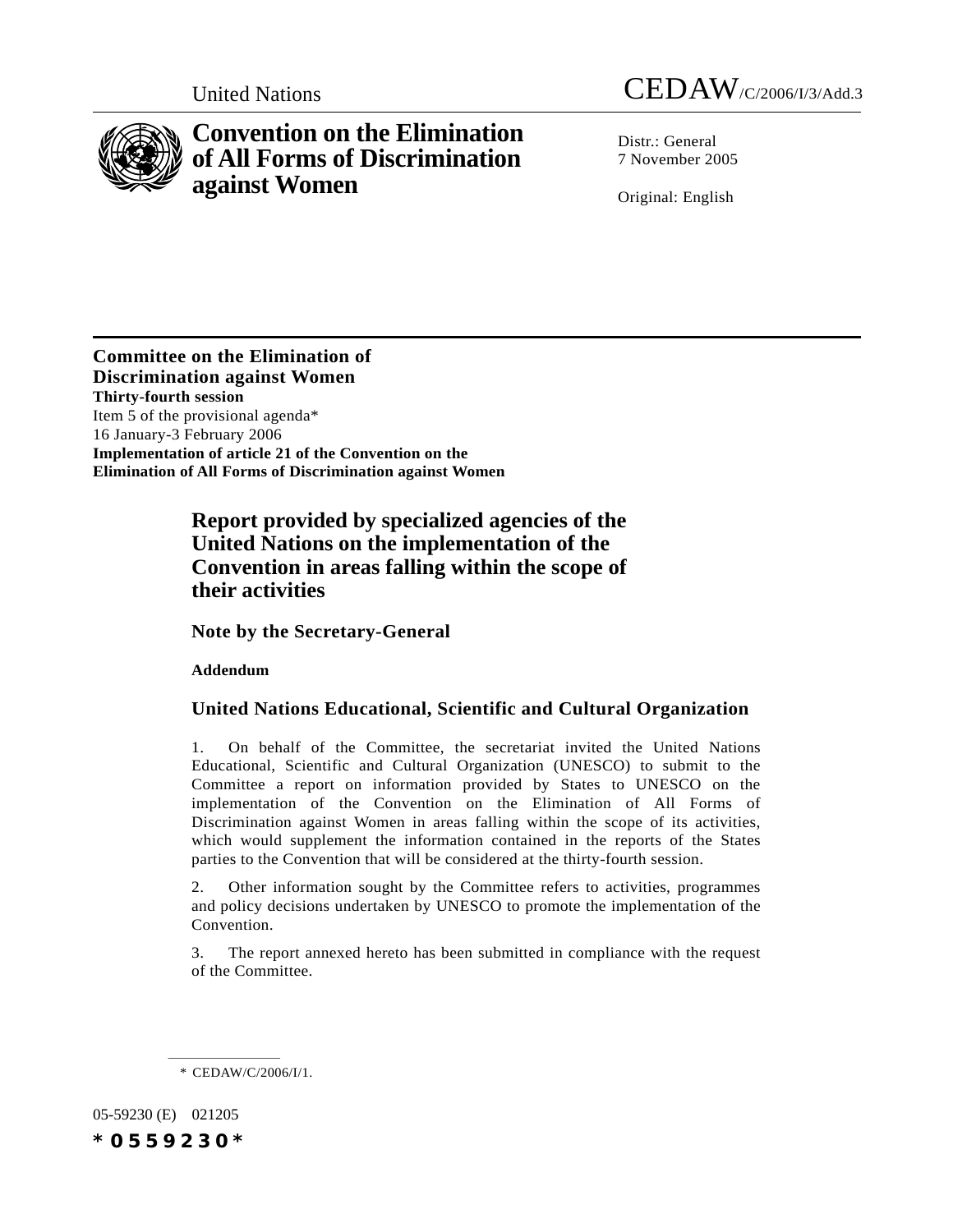

# **Convention on the Elimination of All Forms of Discrimination against Women**

Distr · General 7 November 2005

Original: English

**Committee on the Elimination of Discrimination against Women Thirty-fourth session** Item 5 of the provisional agenda\* 16 January-3 February 2006 **Implementation of article 21 of the Convention on the Elimination of All Forms of Discrimination against Women**

## **Report provided by specialized agencies of the United Nations on the implementation of the Convention in areas falling within the scope of their activities**

**Note by the Secretary-General**

**Addendum**

## **United Nations Educational, Scientific and Cultural Organization**

1. On behalf of the Committee, the secretariat invited the United Nations Educational, Scientific and Cultural Organization (UNESCO) to submit to the Committee a report on information provided by States to UNESCO on the implementation of the Convention on the Elimination of All Forms of Discrimination against Women in areas falling within the scope of its activities, which would supplement the information contained in the reports of the States parties to the Convention that will be considered at the thirty-fourth session.

2. Other information sought by the Committee refers to activities, programmes and policy decisions undertaken by UNESCO to promote the implementation of the Convention.

3. The report annexed hereto has been submitted in compliance with the request of the Committee.

\* CEDAW/C/2006/I/1.

05-59230 (E) 021205 *\*0559230\**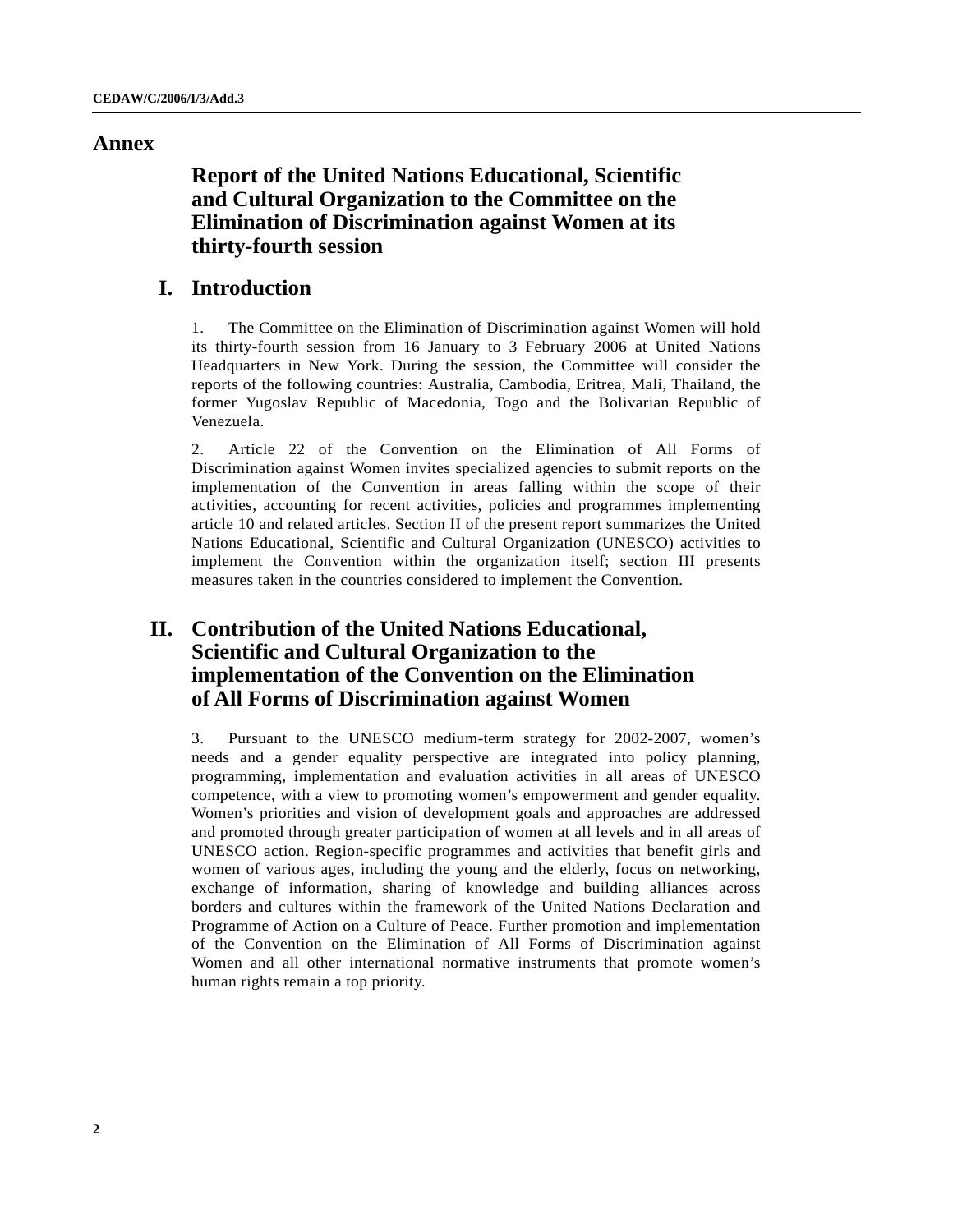## **Annex**

**Report of the United Nations Educational, Scientific and Cultural Organization to the Committee on the Elimination of Discrimination against Women at its thirty-fourth session**

## **I. Introduction**

1. The Committee on the Elimination of Discrimination against Women will hold its thirty-fourth session from 16 January to 3 February 2006 at United Nations Headquarters in New York. During the session, the Committee will consider the reports of the following countries: Australia, Cambodia, Eritrea, Mali, Thailand, the former Yugoslav Republic of Macedonia, Togo and the Bolivarian Republic of Venezuela.

2. Article 22 of the Convention on the Elimination of All Forms of Discrimination against Women invites specialized agencies to submit reports on the implementation of the Convention in areas falling within the scope of their activities, accounting for recent activities, policies and programmes implementing article 10 and related articles. Section II of the present report summarizes the United Nations Educational, Scientific and Cultural Organization (UNESCO) activities to implement the Convention within the organization itself; section III presents measures taken in the countries considered to implement the Convention.

## **II. Contribution of the United Nations Educational, Scientific and Cultural Organization to the implementation of the Convention on the Elimination of All Forms of Discrimination against Women**

3. Pursuant to the UNESCO medium-term strategy for 2002-2007, women's needs and a gender equality perspective are integrated into policy planning, programming, implementation and evaluation activities in all areas of UNESCO competence, with a view to promoting women's empowerment and gender equality. Women's priorities and vision of development goals and approaches are addressed and promoted through greater participation of women at all levels and in all areas of UNESCO action. Region-specific programmes and activities that benefit girls and women of various ages, including the young and the elderly, focus on networking, exchange of information, sharing of knowledge and building alliances across borders and cultures within the framework of the United Nations Declaration and Programme of Action on a Culture of Peace. Further promotion and implementation of the Convention on the Elimination of All Forms of Discrimination against Women and all other international normative instruments that promote women's human rights remain a top priority.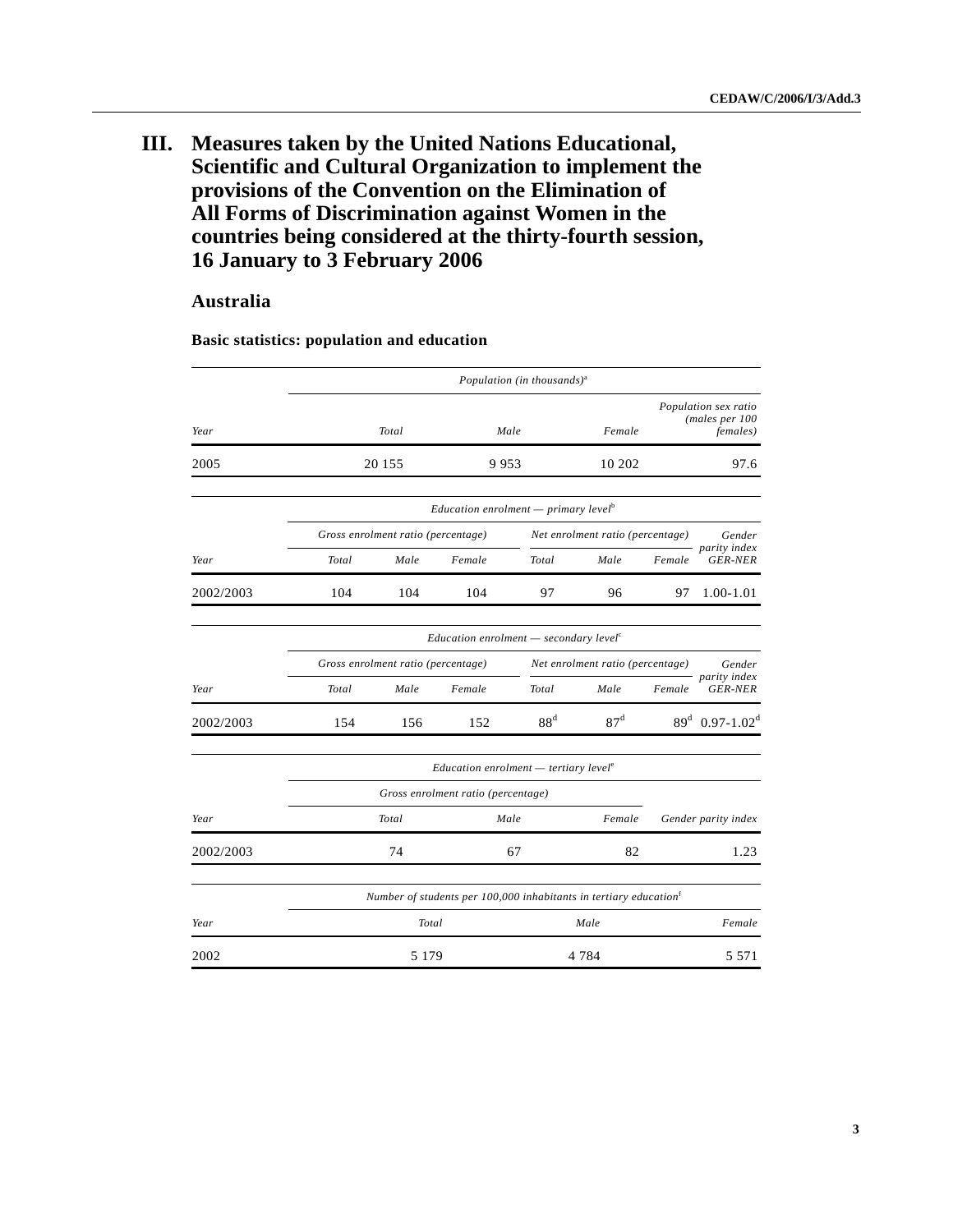## **III. Measures taken by the United Nations Educational, Scientific and Cultural Organization to implement the provisions of the Convention on the Elimination of All Forms of Discrimination against Women in the countries being considered at the thirty-fourth session, 16 January to 3 February 2006**

## **Australia**

|           |       |                                    |                                                                               | Population (in thousands) <sup>a</sup> |                                  |        |                                                            |  |
|-----------|-------|------------------------------------|-------------------------------------------------------------------------------|----------------------------------------|----------------------------------|--------|------------------------------------------------------------|--|
| Year      |       | Total                              |                                                                               | Male                                   | Female                           |        | Population sex ratio<br>(males per 100<br><i>females</i> ) |  |
| 2005      |       | 20 15 5                            | 9953                                                                          |                                        | 10 202                           |        | 97.6                                                       |  |
|           |       |                                    | <i>Education enrolment</i> — <i>primary level</i> <sup>b</sup>                |                                        |                                  |        |                                                            |  |
|           |       | Gross enrolment ratio (percentage) |                                                                               |                                        | Net enrolment ratio (percentage) |        | Gender                                                     |  |
| Year      | Total | Male                               | Female                                                                        | Total                                  | Male                             | Female | parity index<br><b>GER-NER</b>                             |  |
| 2002/2003 | 104   | 104                                | 104                                                                           | 97                                     | 96                               | 97     | 1.00-1.01                                                  |  |
|           |       |                                    | $Education$ enrolment $-$ secondary level <sup>c</sup>                        |                                        |                                  |        |                                                            |  |
|           |       | Gross enrolment ratio (percentage) |                                                                               |                                        | Net enrolment ratio (percentage) |        | Gender                                                     |  |
| Year      | Total | Male                               | Female                                                                        | Total                                  | Male                             | Female | parity index<br><b>GER-NER</b>                             |  |
| 2002/2003 | 154   | 156                                | 152                                                                           | 88 <sup>d</sup>                        | 87 <sup>d</sup>                  |        | $89^d$ 0.97-1.02 <sup>d</sup>                              |  |
|           |       |                                    | $Education$ enrolment $-$ tertiary level <sup>e</sup>                         |                                        |                                  |        |                                                            |  |
|           |       |                                    | Gross enrolment ratio (percentage)                                            |                                        |                                  |        |                                                            |  |
| Year      |       | Total                              |                                                                               | Male                                   | Female                           |        | Gender parity index                                        |  |
| 2002/2003 |       | 74                                 |                                                                               | 67                                     | 82                               |        | 1.23                                                       |  |
|           |       |                                    | Number of students per 100,000 inhabitants in tertiary education <sup>f</sup> |                                        |                                  |        |                                                            |  |
| Year      |       | Total                              |                                                                               |                                        | Male                             |        | Female                                                     |  |
| 2002      |       | 5 1 7 9                            |                                                                               |                                        | 4 7 8 4                          |        | 5 5 7 1                                                    |  |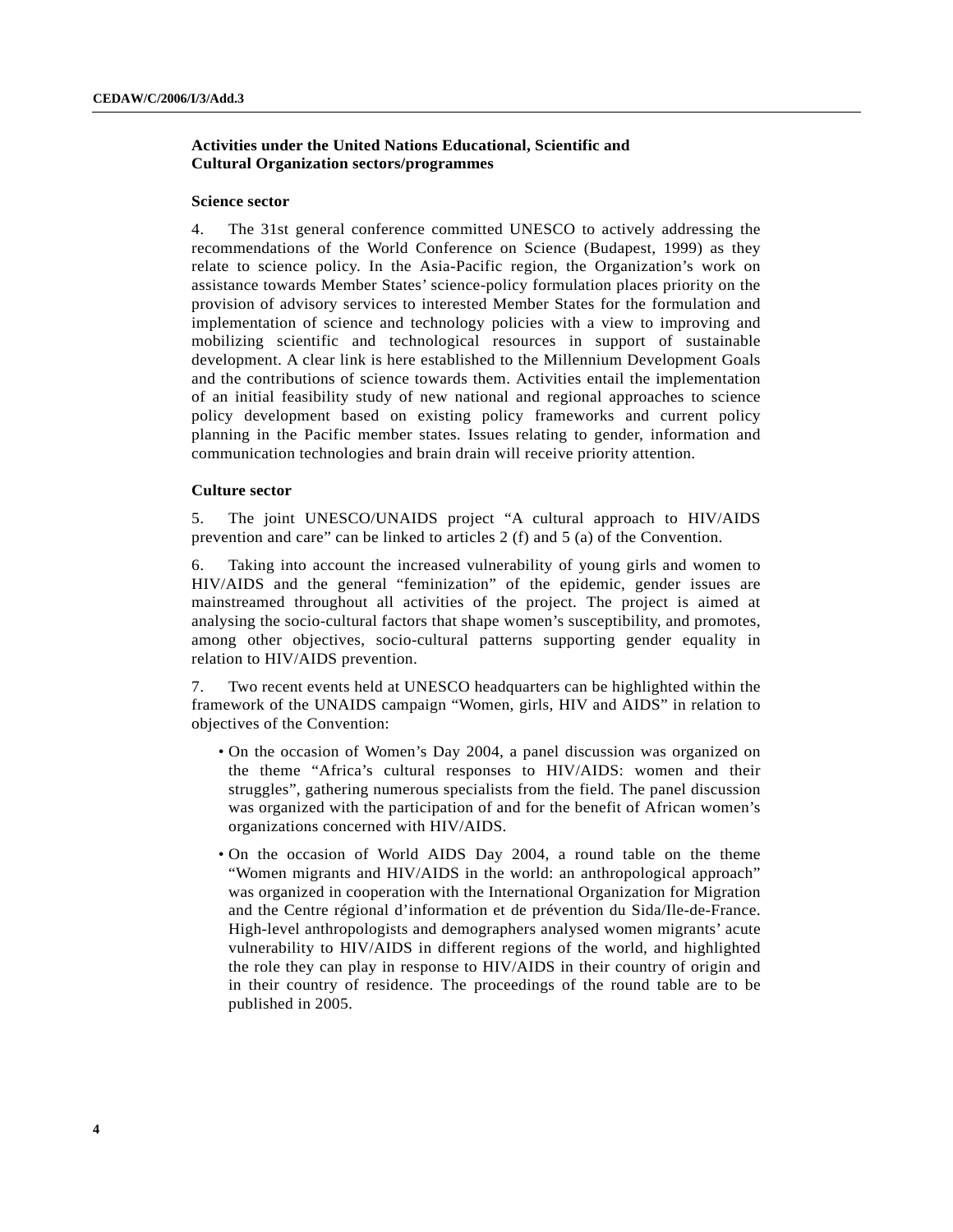## **Activities under the United Nations Educational, Scientific and Cultural Organization sectors/programmes**

#### **Science sector**

4. The 31st general conference committed UNESCO to actively addressing the recommendations of the World Conference on Science (Budapest, 1999) as they relate to science policy. In the Asia-Pacific region, the Organization's work on assistance towards Member States' science-policy formulation places priority on the provision of advisory services to interested Member States for the formulation and implementation of science and technology policies with a view to improving and mobilizing scientific and technological resources in support of sustainable development. A clear link is here established to the Millennium Development Goals and the contributions of science towards them. Activities entail the implementation of an initial feasibility study of new national and regional approaches to science policy development based on existing policy frameworks and current policy planning in the Pacific member states. Issues relating to gender, information and communication technologies and brain drain will receive priority attention.

#### **Culture sector**

5. The joint UNESCO/UNAIDS project "A cultural approach to HIV/AIDS prevention and care" can be linked to articles 2 (f) and 5 (a) of the Convention.

6. Taking into account the increased vulnerability of young girls and women to HIV/AIDS and the general "feminization" of the epidemic, gender issues are mainstreamed throughout all activities of the project. The project is aimed at analysing the socio-cultural factors that shape women's susceptibility, and promotes, among other objectives, socio-cultural patterns supporting gender equality in relation to HIV/AIDS prevention.

7. Two recent events held at UNESCO headquarters can be highlighted within the framework of the UNAIDS campaign "Women, girls, HIV and AIDS" in relation to objectives of the Convention:

- On the occasion of Women's Day 2004, a panel discussion was organized on the theme "Africa's cultural responses to HIV/AIDS: women and their struggles", gathering numerous specialists from the field. The panel discussion was organized with the participation of and for the benefit of African women's organizations concerned with HIV/AIDS.
- On the occasion of World AIDS Day 2004, a round table on the theme "Women migrants and HIV/AIDS in the world: an anthropological approach" was organized in cooperation with the International Organization for Migration and the Centre régional d'information et de prévention du Sida/Ile-de-France. High-level anthropologists and demographers analysed women migrants' acute vulnerability to HIV/AIDS in different regions of the world, and highlighted the role they can play in response to HIV/AIDS in their country of origin and in their country of residence. The proceedings of the round table are to be published in 2005.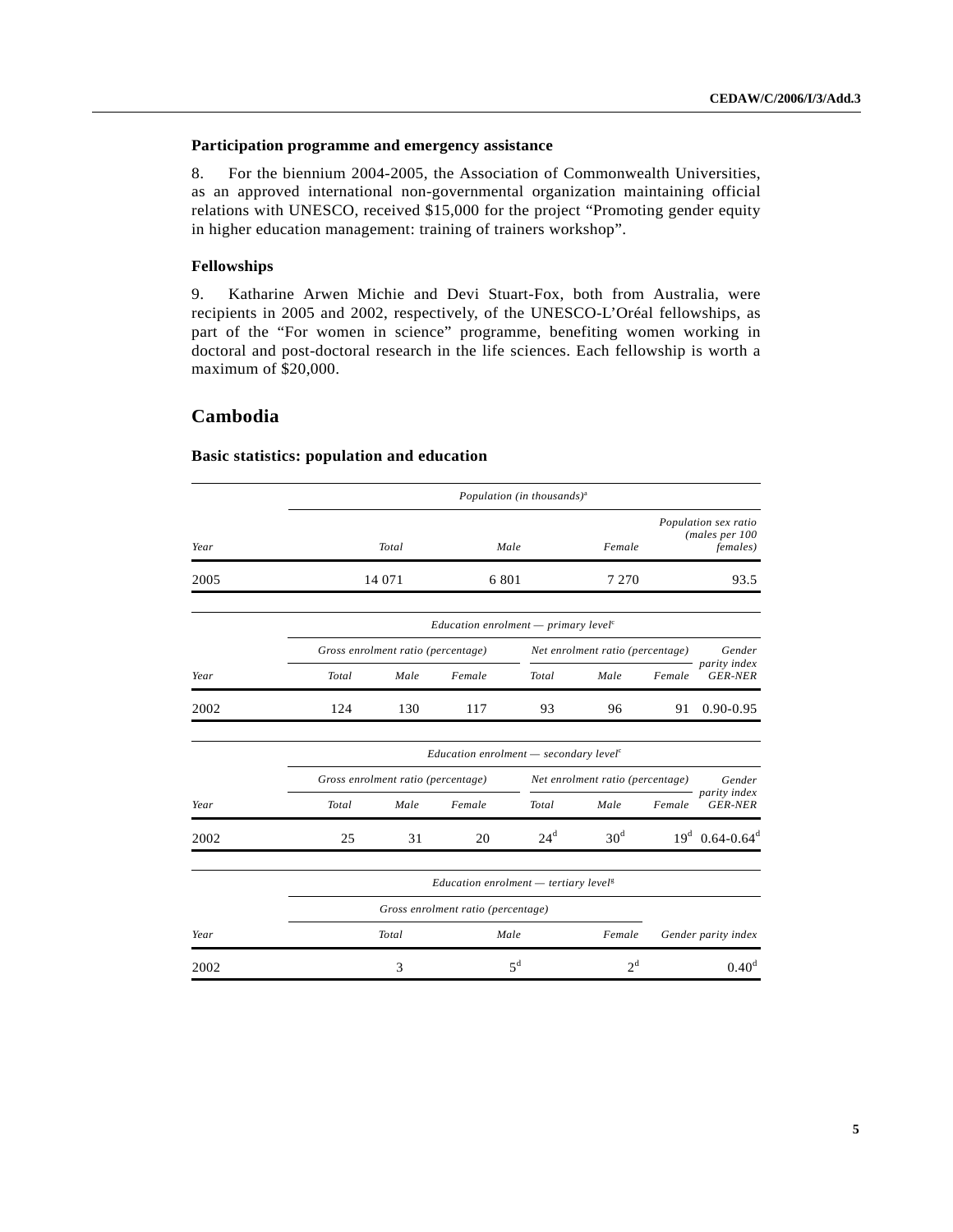## **Participation programme and emergency assistance**

8. For the biennium 2004-2005, the Association of Commonwealth Universities, as an approved international non-governmental organization maintaining official relations with UNESCO, received \$15,000 for the project "Promoting gender equity in higher education management: training of trainers workshop".

#### **Fellowships**

9. Katharine Arwen Michie and Devi Stuart-Fox, both from Australia, were recipients in 2005 and 2002, respectively, of the UNESCO-L'Oréal fellowships, as part of the "For women in science" programme, benefiting women working in doctoral and post-doctoral research in the life sciences. Each fellowship is worth a maximum of \$20,000.

## **Cambodia**

## *Population (in thousands)*<sup>a</sup> *Year Total Male Female Population sex ratio (males per 100 females)* 2005 14 071 6 801 7 270 93.5 *Education enrolment — primary level*<sup>c</sup> *Gross enrolment ratio (percentage) Net enrolment ratio (percentage) Year Total Male Female Total Male Female Gender parity index GER-NER* 2002 124 130 117 93 96 91 0.90-0.95 *Education enrolment — secondary level*<sup>c</sup> *Gross enrolment ratio (percentage) Net enrolment ratio (percentage) Year Total Male Female Total Male Female Gender parity index GER-NER* 2002 25 31 20  $2\text{d}^d$  30<sup>d</sup> 19<sup>d</sup> 0.64-0.64<sup>d</sup> *Education enrolment — tertiary level*<sup>g</sup> *Gross enrolment ratio (percentage) Year Total Male Female Gender parity index* 2002 3 5<sup>d</sup>  $2^{d}$  0.40<sup>d</sup>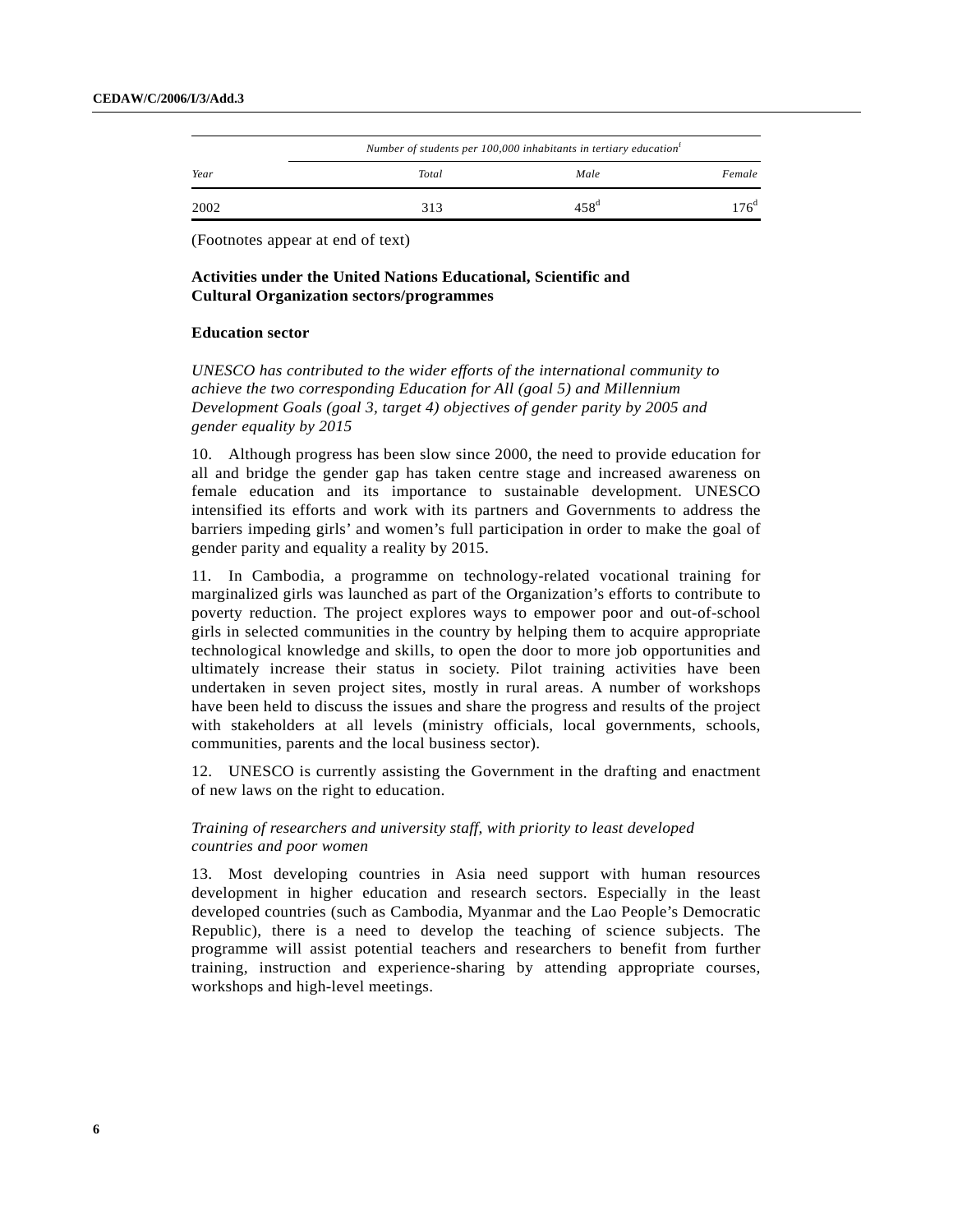|      |       | Number of students per 100,000 inhabitants in tertiary education <sup>f</sup> |                 |
|------|-------|-------------------------------------------------------------------------------|-----------------|
| Year | Total | Male                                                                          | Female          |
| 2002 | 313   | 458 <sup>d</sup>                                                              | 76 <sup>d</sup> |

## **Activities under the United Nations Educational, Scientific and Cultural Organization sectors/programmes**

### **Education sector**

*UNESCO has contributed to the wider efforts of the international community to achieve the two corresponding Education for All (goal 5) and Millennium Development Goals (goal 3, target 4) objectives of gender parity by 2005 and gender equality by 2015*

10. Although progress has been slow since 2000, the need to provide education for all and bridge the gender gap has taken centre stage and increased awareness on female education and its importance to sustainable development. UNESCO intensified its efforts and work with its partners and Governments to address the barriers impeding girls' and women's full participation in order to make the goal of gender parity and equality a reality by 2015.

11. In Cambodia, a programme on technology-related vocational training for marginalized girls was launched as part of the Organization's efforts to contribute to poverty reduction. The project explores ways to empower poor and out-of-school girls in selected communities in the country by helping them to acquire appropriate technological knowledge and skills, to open the door to more job opportunities and ultimately increase their status in society. Pilot training activities have been undertaken in seven project sites, mostly in rural areas. A number of workshops have been held to discuss the issues and share the progress and results of the project with stakeholders at all levels (ministry officials, local governments, schools, communities, parents and the local business sector).

12. UNESCO is currently assisting the Government in the drafting and enactment of new laws on the right to education.

## *Training of researchers and university staff, with priority to least developed countries and poor women*

13. Most developing countries in Asia need support with human resources development in higher education and research sectors. Especially in the least developed countries (such as Cambodia, Myanmar and the Lao People's Democratic Republic), there is a need to develop the teaching of science subjects. The programme will assist potential teachers and researchers to benefit from further training, instruction and experience-sharing by attending appropriate courses, workshops and high-level meetings.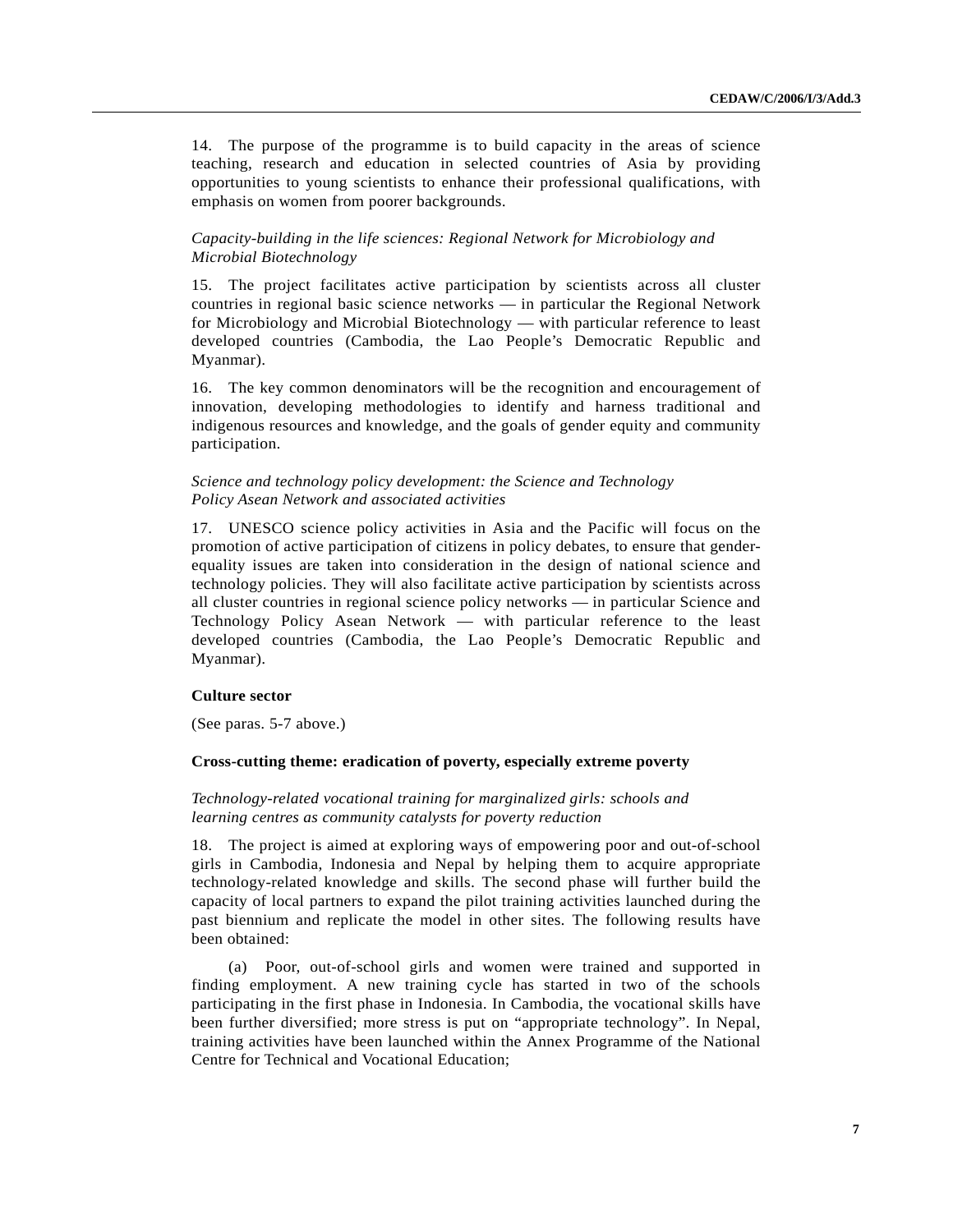14. The purpose of the programme is to build capacity in the areas of science teaching, research and education in selected countries of Asia by providing opportunities to young scientists to enhance their professional qualifications, with emphasis on women from poorer backgrounds.

## *Capacity-building in the life sciences: Regional Network for Microbiology and Microbial Biotechnology*

15. The project facilitates active participation by scientists across all cluster countries in regional basic science networks — in particular the Regional Network for Microbiology and Microbial Biotechnology — with particular reference to least developed countries (Cambodia, the Lao People's Democratic Republic and Myanmar).

16. The key common denominators will be the recognition and encouragement of innovation, developing methodologies to identify and harness traditional and indigenous resources and knowledge, and the goals of gender equity and community participation.

## *Science and technology policy development: the Science and Technology Policy Asean Network and associated activities*

17. UNESCO science policy activities in Asia and the Pacific will focus on the promotion of active participation of citizens in policy debates, to ensure that genderequality issues are taken into consideration in the design of national science and technology policies. They will also facilitate active participation by scientists across all cluster countries in regional science policy networks — in particular Science and Technology Policy Asean Network — with particular reference to the least developed countries (Cambodia, the Lao People's Democratic Republic and Myanmar).

#### **Culture sector**

(See paras. 5-7 above.)

#### **Cross-cutting theme: eradication of poverty, especially extreme poverty**

### *Technology-related vocational training for marginalized girls: schools and learning centres as community catalysts for poverty reduction*

18. The project is aimed at exploring ways of empowering poor and out-of-school girls in Cambodia, Indonesia and Nepal by helping them to acquire appropriate technology-related knowledge and skills. The second phase will further build the capacity of local partners to expand the pilot training activities launched during the past biennium and replicate the model in other sites. The following results have been obtained:

(a) Poor, out-of-school girls and women were trained and supported in finding employment. A new training cycle has started in two of the schools participating in the first phase in Indonesia. In Cambodia, the vocational skills have been further diversified; more stress is put on "appropriate technology". In Nepal, training activities have been launched within the Annex Programme of the National Centre for Technical and Vocational Education;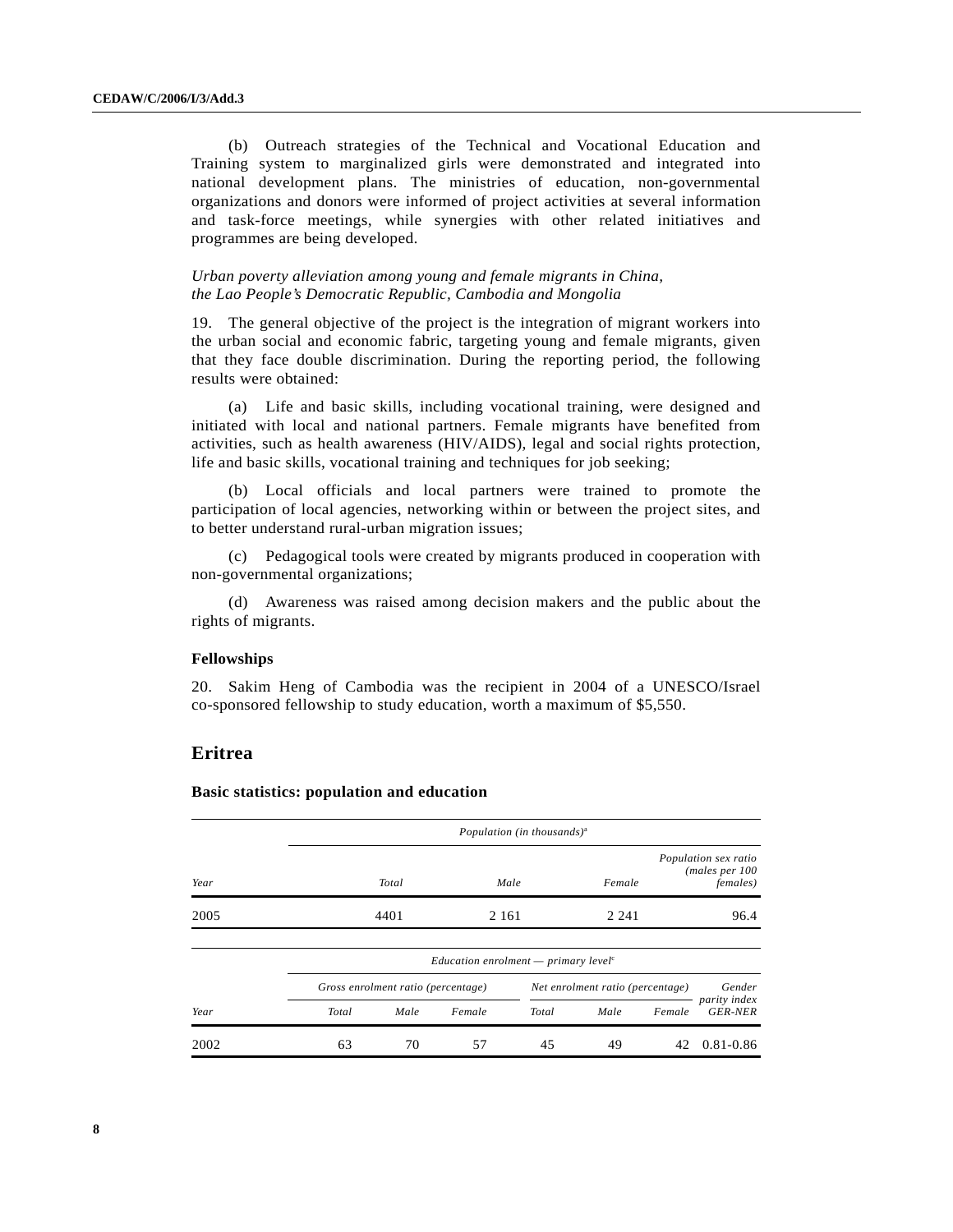(b) Outreach strategies of the Technical and Vocational Education and Training system to marginalized girls were demonstrated and integrated into national development plans. The ministries of education, non-governmental organizations and donors were informed of project activities at several information and task-force meetings, while synergies with other related initiatives and programmes are being developed.

## *Urban poverty alleviation among young and female migrants in China, the Lao People's Democratic Republic, Cambodia and Mongolia*

19. The general objective of the project is the integration of migrant workers into the urban social and economic fabric, targeting young and female migrants, given that they face double discrimination. During the reporting period, the following results were obtained:

(a) Life and basic skills, including vocational training, were designed and initiated with local and national partners. Female migrants have benefited from activities, such as health awareness (HIV/AIDS), legal and social rights protection, life and basic skills, vocational training and techniques for job seeking;

(b) Local officials and local partners were trained to promote the participation of local agencies, networking within or between the project sites, and to better understand rural-urban migration issues;

(c) Pedagogical tools were created by migrants produced in cooperation with non-governmental organizations;

(d) Awareness was raised among decision makers and the public about the rights of migrants.

## **Fellowships**

20. Sakim Heng of Cambodia was the recipient in 2004 of a UNESCO/Israel co-sponsored fellowship to study education, worth a maximum of \$5,550.

## **Eritrea**

|      |       | Population (in thousands) <sup>a</sup> |                                                  |       |                                  |        |                                                             |  |
|------|-------|----------------------------------------|--------------------------------------------------|-------|----------------------------------|--------|-------------------------------------------------------------|--|
| Year |       | Total                                  |                                                  | Male  | Female                           |        | Population sex ratio<br>(males per 100)<br><i>females</i> ) |  |
| 2005 |       | 4401                                   | 2 1 6 1                                          |       | 2 2 4 1                          |        | 96.4                                                        |  |
|      |       |                                        | Education enrolment — primary level <sup>c</sup> |       |                                  |        |                                                             |  |
|      |       | Gross enrolment ratio (percentage)     |                                                  |       | Net enrolment ratio (percentage) |        | Gender                                                      |  |
| Year | Total | Male                                   | Female                                           | Total | Male                             | Female | parity index<br><b>GER-NER</b>                              |  |
| 2002 | 63    | 70                                     | 57                                               | 45    | 49                               | 42     | $0.81 - 0.86$                                               |  |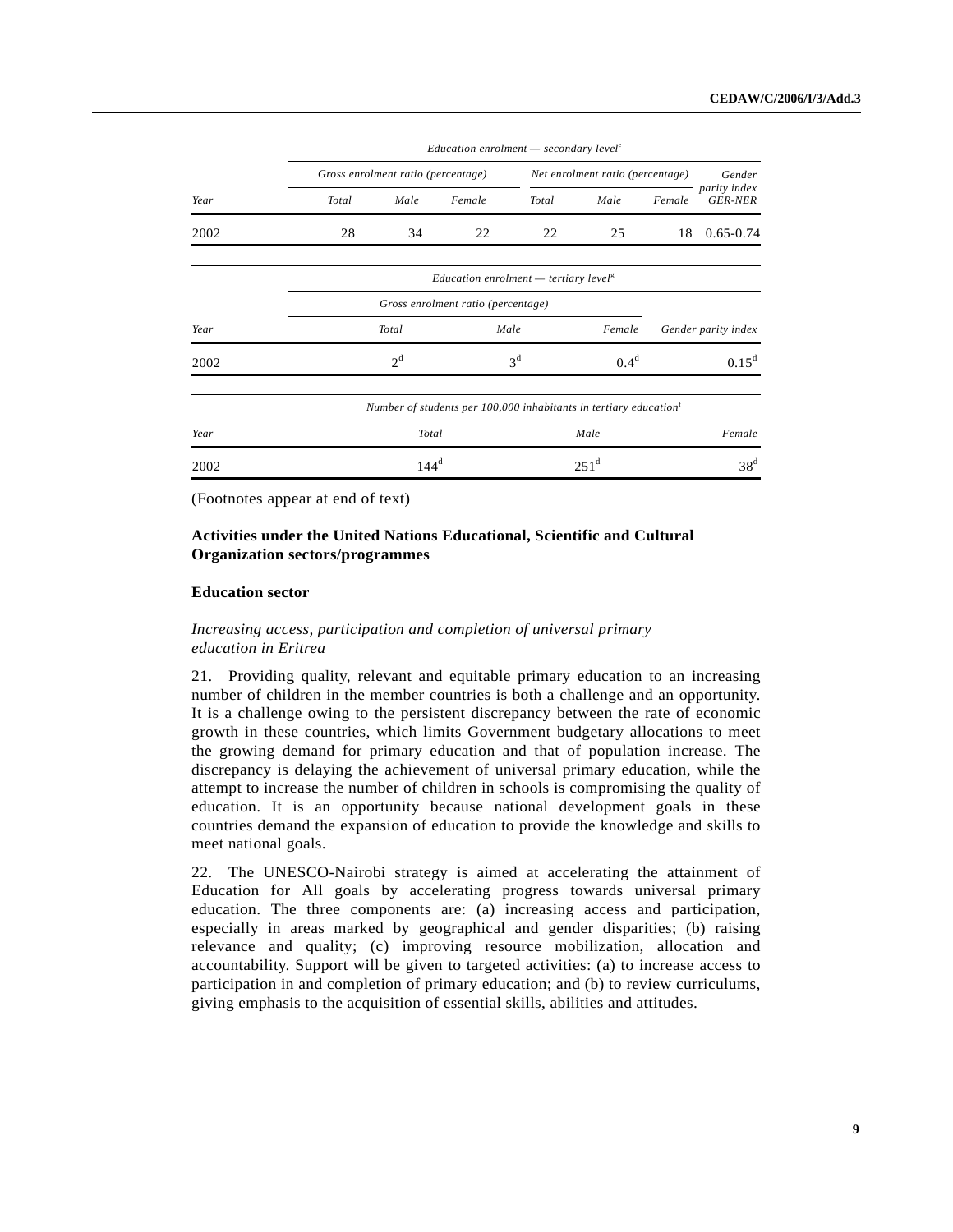|      |                                    |                                    | Education enrolment $-$ secondary level <sup>c</sup>                          |                |                                  |        |                                |
|------|------------------------------------|------------------------------------|-------------------------------------------------------------------------------|----------------|----------------------------------|--------|--------------------------------|
|      |                                    | Gross enrolment ratio (percentage) |                                                                               |                | Net enrolment ratio (percentage) |        | Gender                         |
| Year | Total                              | Male                               | Female                                                                        | Total          | Male                             | Female | parity index<br><b>GER-NER</b> |
| 2002 | 28                                 | 34                                 | 22                                                                            | 22             | 25                               | 18     | $0.65 - 0.74$                  |
|      |                                    |                                    | <i>Education enrolment</i> $-$ tertiary level <sup>g</sup>                    |                |                                  |        |                                |
|      | Gross enrolment ratio (percentage) |                                    |                                                                               |                |                                  |        |                                |
| Year |                                    | Total                              | Male                                                                          |                | Female                           |        | Gender parity index            |
| 2002 |                                    | 2 <sup>d</sup>                     |                                                                               | 3 <sup>d</sup> | 0.4 <sup>d</sup>                 |        | $0.15^d$                       |
|      |                                    |                                    | Number of students per 100,000 inhabitants in tertiary education <sup>t</sup> |                |                                  |        |                                |
| Year |                                    | Total                              |                                                                               |                | Male                             |        | Female                         |
| 2002 |                                    | $144^d$                            |                                                                               |                | 251 <sup>d</sup>                 |        | 38 <sup>d</sup>                |

## **Activities under the United Nations Educational, Scientific and Cultural Organization sectors/programmes**

#### **Education sector**

## *Increasing access, participation and completion of universal primary education in Eritrea*

21. Providing quality, relevant and equitable primary education to an increasing number of children in the member countries is both a challenge and an opportunity. It is a challenge owing to the persistent discrepancy between the rate of economic growth in these countries, which limits Government budgetary allocations to meet the growing demand for primary education and that of population increase. The discrepancy is delaying the achievement of universal primary education, while the attempt to increase the number of children in schools is compromising the quality of education. It is an opportunity because national development goals in these countries demand the expansion of education to provide the knowledge and skills to meet national goals.

22. The UNESCO-Nairobi strategy is aimed at accelerating the attainment of Education for All goals by accelerating progress towards universal primary education. The three components are: (a) increasing access and participation, especially in areas marked by geographical and gender disparities; (b) raising relevance and quality; (c) improving resource mobilization, allocation and accountability. Support will be given to targeted activities: (a) to increase access to participation in and completion of primary education; and (b) to review curriculums, giving emphasis to the acquisition of essential skills, abilities and attitudes.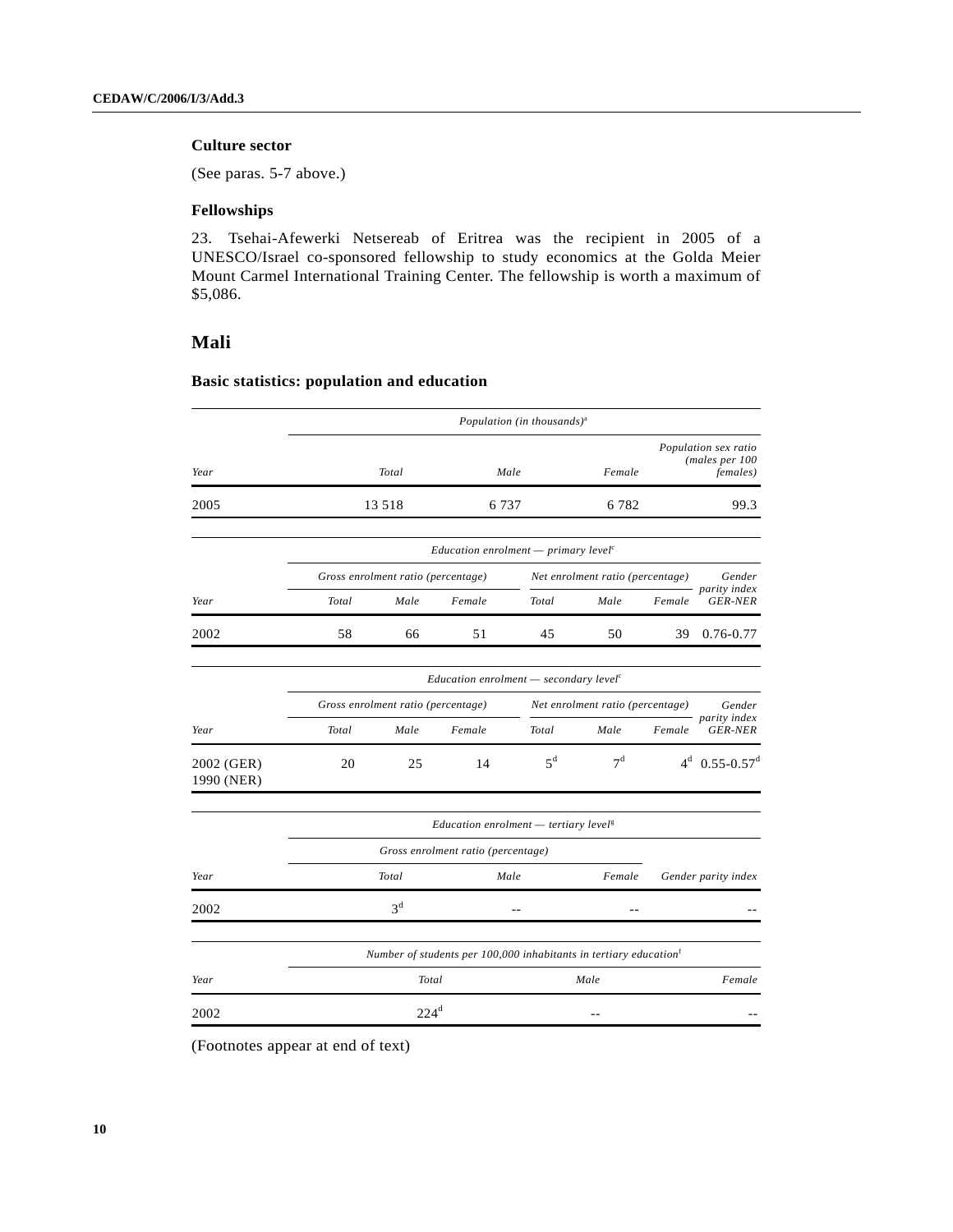## **Culture sector**

(See paras. 5-7 above.)

## **Fellowships**

23. Tsehai-Afewerki Netsereab of Eritrea was the recipient in 2005 of a UNESCO/Israel co-sponsored fellowship to study economics at the Golda Meier Mount Carmel International Training Center. The fellowship is worth a maximum of \$5,086.

## **Mali**

## **Basic statistics: population and education**

|                          |       |                                                                   |                                                                               | Population (in thousands) <sup>a</sup> |                                  |        |                                                            |  |  |
|--------------------------|-------|-------------------------------------------------------------------|-------------------------------------------------------------------------------|----------------------------------------|----------------------------------|--------|------------------------------------------------------------|--|--|
| Year                     |       | Total                                                             | Male                                                                          |                                        | Female                           |        | Population sex ratio<br>(males per 100<br><i>females</i> ) |  |  |
| 2005                     |       | 13 5 18                                                           | 6 7 3 7                                                                       |                                        | 6782                             |        | 99.3                                                       |  |  |
|                          |       |                                                                   | Education enrolment - primary level <sup><math>c</math></sup>                 |                                        |                                  |        |                                                            |  |  |
|                          |       | Gross enrolment ratio (percentage)                                |                                                                               |                                        | Net enrolment ratio (percentage) |        | Gender                                                     |  |  |
| Year                     | Total | Male                                                              | Female                                                                        | Total                                  | Male                             | Female | - parity index<br><b>GER-NER</b>                           |  |  |
| 2002                     | 58    | 66                                                                | 51                                                                            | 45                                     | 50                               | 39     | $0.76 - 0.77$                                              |  |  |
|                          |       |                                                                   |                                                                               |                                        |                                  |        |                                                            |  |  |
|                          |       | Education enrolment $-$ secondary level <sup><math>c</math></sup> |                                                                               |                                        |                                  |        |                                                            |  |  |
|                          |       | Gross enrolment ratio (percentage)                                |                                                                               |                                        | Net enrolment ratio (percentage) |        | Gender<br>parity index                                     |  |  |
| Year                     | Total | Male                                                              | Female                                                                        | <b>Total</b>                           | Male                             | Female | <b>GER-NER</b>                                             |  |  |
| 2002 (GER)<br>1990 (NER) | 20    | 25                                                                | 14                                                                            | $5^d$                                  | 7 <sup>d</sup>                   |        | $4^d$ 0.55-0.57 <sup>d</sup>                               |  |  |
|                          |       |                                                                   | Education enrolment $-$ tertiary level <sup>g</sup>                           |                                        |                                  |        |                                                            |  |  |
|                          |       |                                                                   | Gross enrolment ratio (percentage)                                            |                                        |                                  |        |                                                            |  |  |
| Year                     |       | Total                                                             | Male                                                                          |                                        | Female                           |        | Gender parity index                                        |  |  |
| 2002                     |       | 3 <sup>d</sup>                                                    |                                                                               |                                        |                                  |        |                                                            |  |  |
|                          |       |                                                                   | Number of students per 100,000 inhabitants in tertiary education <sup>t</sup> |                                        |                                  |        |                                                            |  |  |
| Year                     |       | Total                                                             |                                                                               |                                        | Male                             |        | Female                                                     |  |  |
| 2002                     |       | $224^d$                                                           |                                                                               |                                        |                                  |        |                                                            |  |  |

(Footnotes appear at end of text)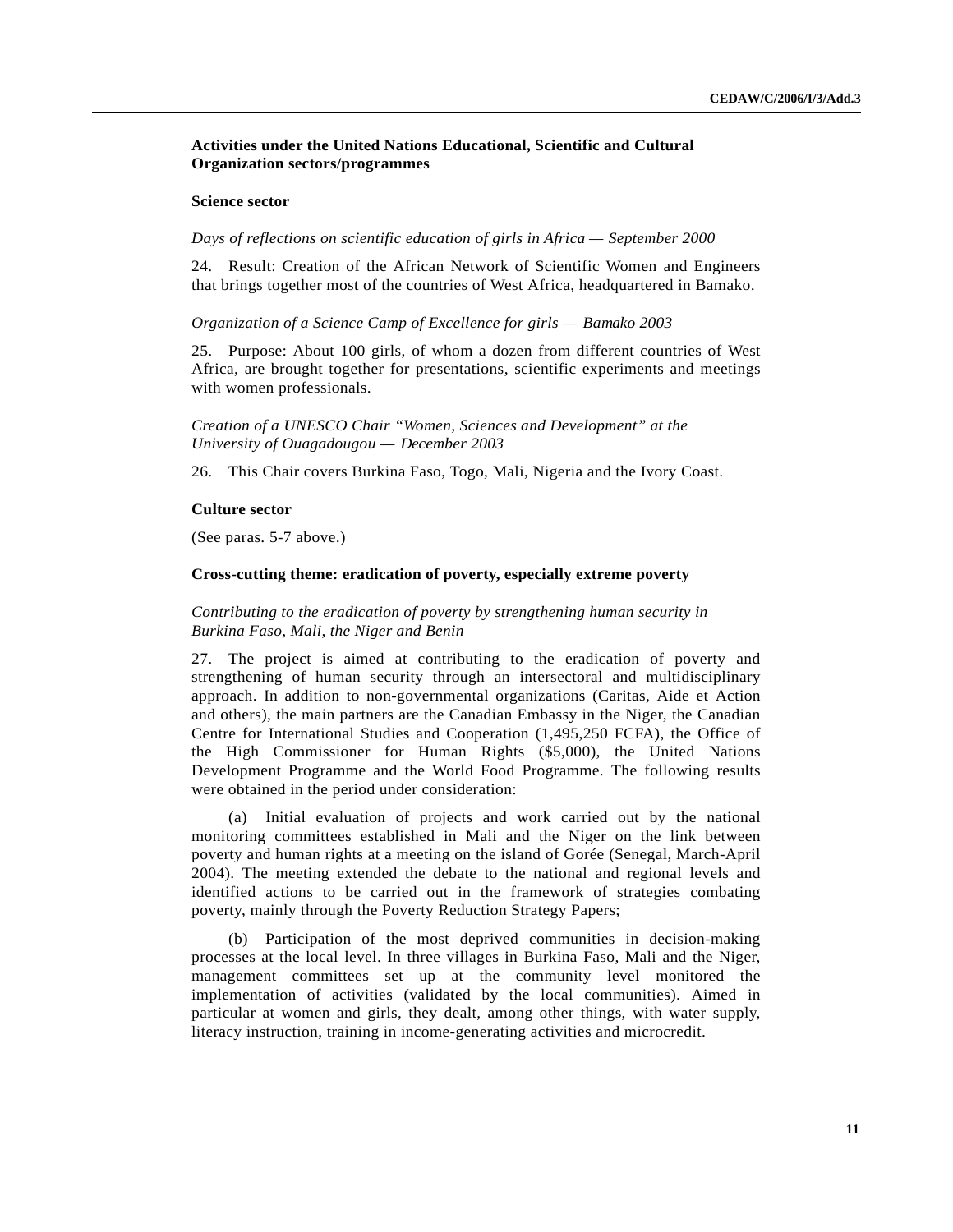## **Activities under the United Nations Educational, Scientific and Cultural Organization sectors/programmes**

#### **Science sector**

#### *Days of reflections on scientific education of girls in Africa — September 2000*

24. Result: Creation of the African Network of Scientific Women and Engineers that brings together most of the countries of West Africa, headquartered in Bamako.

#### *Organization of a Science Camp of Excellence for girls — Bamako 2003*

25. Purpose: About 100 girls, of whom a dozen from different countries of West Africa, are brought together for presentations, scientific experiments and meetings with women professionals.

*Creation of a UNESCO Chair "Women, Sciences and Development" at the University of Ouagadougou — December 2003*

26. This Chair covers Burkina Faso, Togo, Mali, Nigeria and the Ivory Coast.

#### **Culture sector**

(See paras. 5-7 above.)

#### **Cross-cutting theme: eradication of poverty, especially extreme poverty**

*Contributing to the eradication of poverty by strengthening human security in Burkina Faso, Mali, the Niger and Benin*

27. The project is aimed at contributing to the eradication of poverty and strengthening of human security through an intersectoral and multidisciplinary approach. In addition to non-governmental organizations (Caritas, Aide et Action and others), the main partners are the Canadian Embassy in the Niger, the Canadian Centre for International Studies and Cooperation (1,495,250 FCFA), the Office of the High Commissioner for Human Rights (\$5,000), the United Nations Development Programme and the World Food Programme. The following results were obtained in the period under consideration:

(a) Initial evaluation of projects and work carried out by the national monitoring committees established in Mali and the Niger on the link between poverty and human rights at a meeting on the island of Gorée (Senegal, March-April 2004). The meeting extended the debate to the national and regional levels and identified actions to be carried out in the framework of strategies combating poverty, mainly through the Poverty Reduction Strategy Papers;

(b) Participation of the most deprived communities in decision-making processes at the local level. In three villages in Burkina Faso, Mali and the Niger, management committees set up at the community level monitored the implementation of activities (validated by the local communities). Aimed in particular at women and girls, they dealt, among other things, with water supply, literacy instruction, training in income-generating activities and microcredit.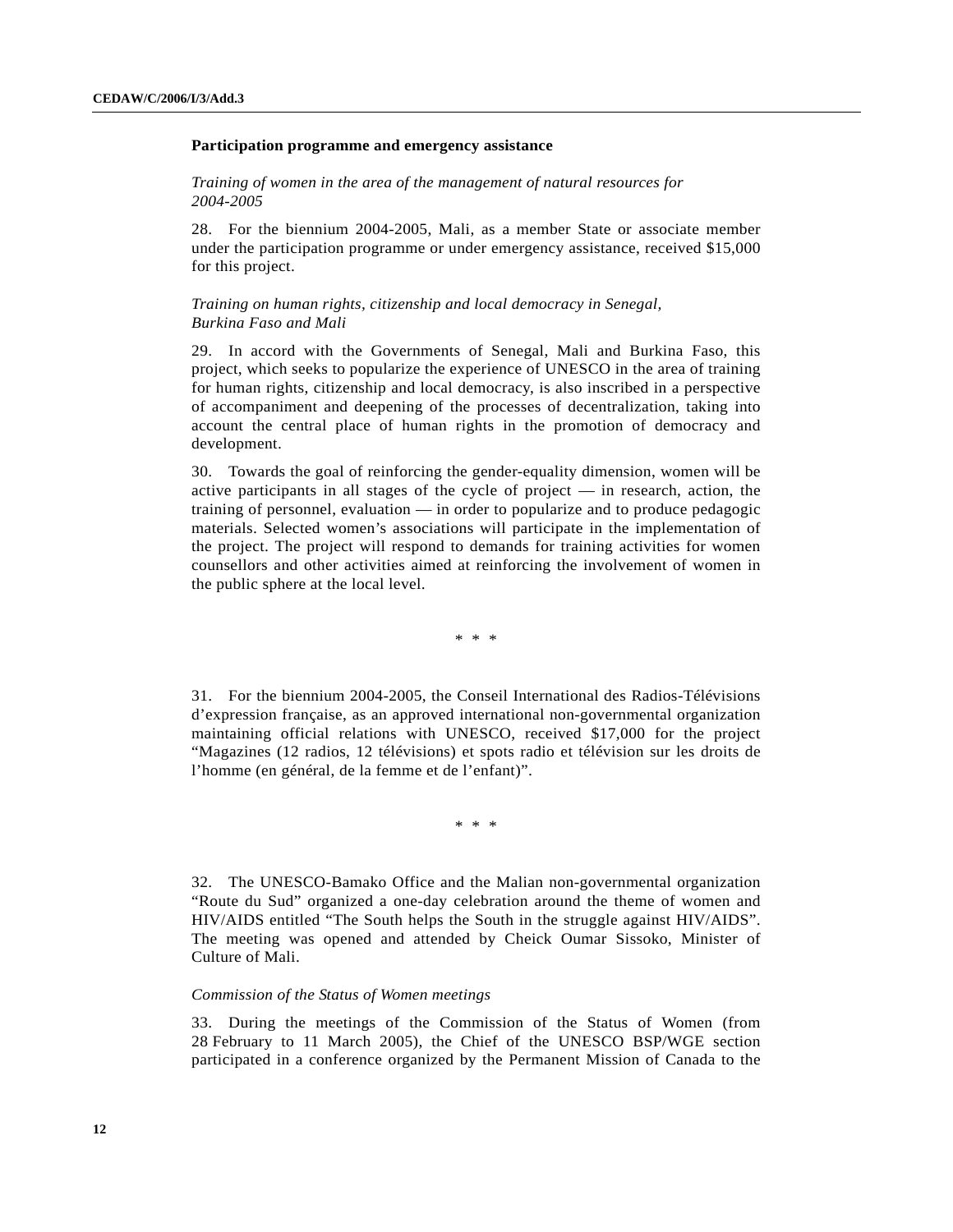#### **Participation programme and emergency assistance**

*Training of women in the area of the management of natural resources for 2004-2005*

28. For the biennium 2004-2005, Mali, as a member State or associate member under the participation programme or under emergency assistance, received \$15,000 for this project.

### *Training on human rights, citizenship and local democracy in Senegal, Burkina Faso and Mali*

29. In accord with the Governments of Senegal, Mali and Burkina Faso, this project, which seeks to popularize the experience of UNESCO in the area of training for human rights, citizenship and local democracy, is also inscribed in a perspective of accompaniment and deepening of the processes of decentralization, taking into account the central place of human rights in the promotion of democracy and development.

30. Towards the goal of reinforcing the gender-equality dimension, women will be active participants in all stages of the cycle of project — in research, action, the training of personnel, evaluation — in order to popularize and to produce pedagogic materials. Selected women's associations will participate in the implementation of the project. The project will respond to demands for training activities for women counsellors and other activities aimed at reinforcing the involvement of women in the public sphere at the local level.

\* \* \*

31. For the biennium 2004-2005, the Conseil International des Radios-Télévisions d'expression française, as an approved international non-governmental organization maintaining official relations with UNESCO, received \$17,000 for the project "Magazines (12 radios, 12 télévisions) et spots radio et télévision sur les droits de l'homme (en général, de la femme et de l'enfant)".

\* \* \*

32. The UNESCO-Bamako Office and the Malian non-governmental organization "Route du Sud" organized a one-day celebration around the theme of women and HIV/AIDS entitled "The South helps the South in the struggle against HIV/AIDS". The meeting was opened and attended by Cheick Oumar Sissoko, Minister of Culture of Mali.

#### *Commission of the Status of Women meetings*

33. During the meetings of the Commission of the Status of Women (from 28 February to 11 March 2005), the Chief of the UNESCO BSP/WGE section participated in a conference organized by the Permanent Mission of Canada to the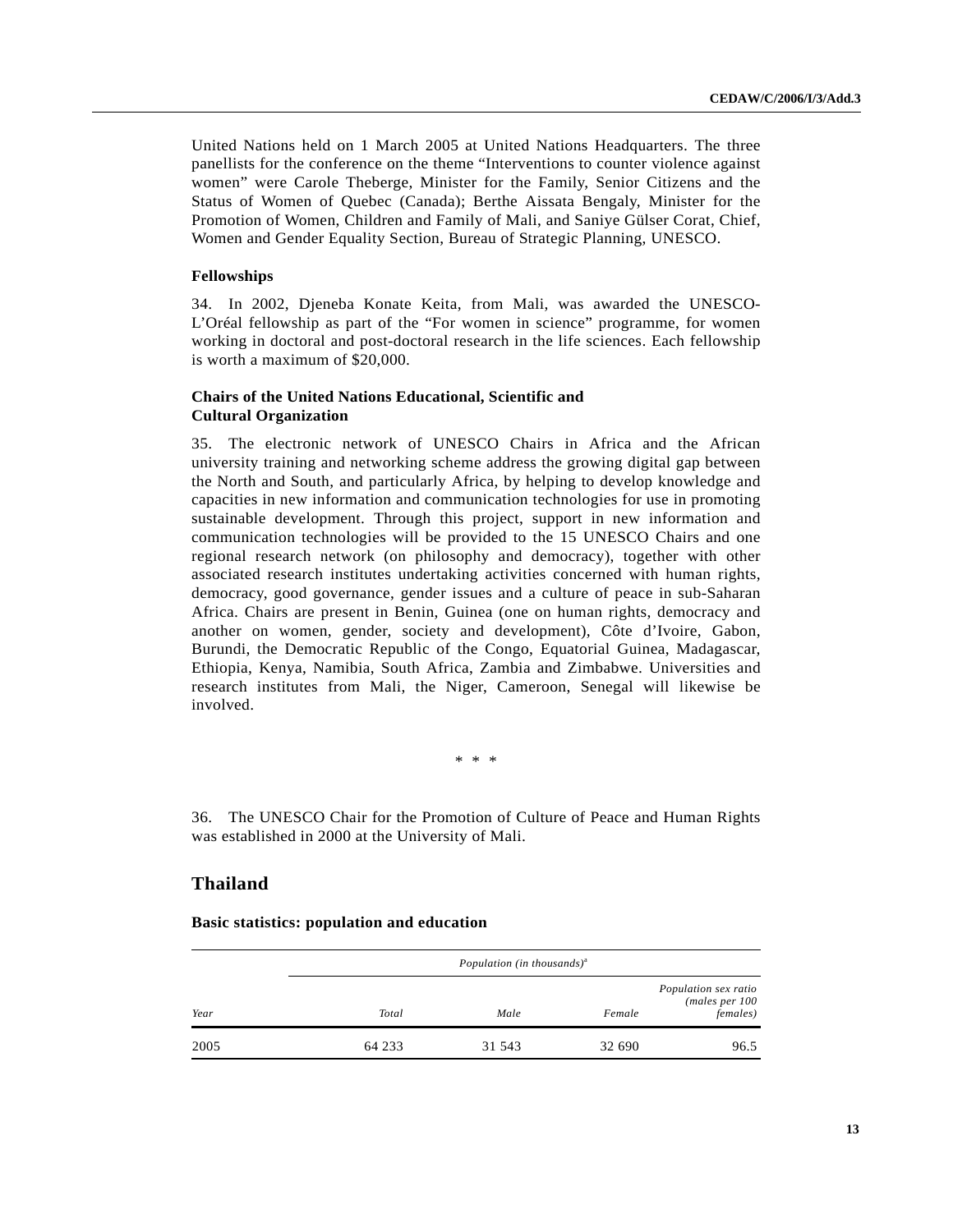United Nations held on 1 March 2005 at United Nations Headquarters. The three panellists for the conference on the theme "Interventions to counter violence against women" were Carole Theberge, Minister for the Family, Senior Citizens and the Status of Women of Quebec (Canada); Berthe Aissata Bengaly, Minister for the Promotion of Women, Children and Family of Mali, and Saniye Gülser Corat, Chief, Women and Gender Equality Section, Bureau of Strategic Planning, UNESCO.

#### **Fellowships**

34. In 2002, Djeneba Konate Keita, from Mali, was awarded the UNESCO-L'Oréal fellowship as part of the "For women in science" programme, for women working in doctoral and post-doctoral research in the life sciences. Each fellowship is worth a maximum of \$20,000.

## **Chairs of the United Nations Educational, Scientific and Cultural Organization**

35. The electronic network of UNESCO Chairs in Africa and the African university training and networking scheme address the growing digital gap between the North and South, and particularly Africa, by helping to develop knowledge and capacities in new information and communication technologies for use in promoting sustainable development. Through this project, support in new information and communication technologies will be provided to the 15 UNESCO Chairs and one regional research network (on philosophy and democracy), together with other associated research institutes undertaking activities concerned with human rights, democracy, good governance, gender issues and a culture of peace in sub-Saharan Africa. Chairs are present in Benin, Guinea (one on human rights, democracy and another on women, gender, society and development), Côte d'Ivoire, Gabon, Burundi, the Democratic Republic of the Congo, Equatorial Guinea, Madagascar, Ethiopia, Kenya, Namibia, South Africa, Zambia and Zimbabwe. Universities and research institutes from Mali, the Niger, Cameroon, Senegal will likewise be involved.

\* \* \*

36. The UNESCO Chair for the Promotion of Culture of Peace and Human Rights was established in 2000 at the University of Mali.

## **Thailand**

|      |        | Population (in thousands) <sup>a</sup> |        |                                                            |
|------|--------|----------------------------------------|--------|------------------------------------------------------------|
| Year | Total  | Male                                   | Female | Population sex ratio<br>(males per 100<br><i>females</i> ) |
| 2005 | 64 233 | 31 543                                 | 32 690 | 96.5                                                       |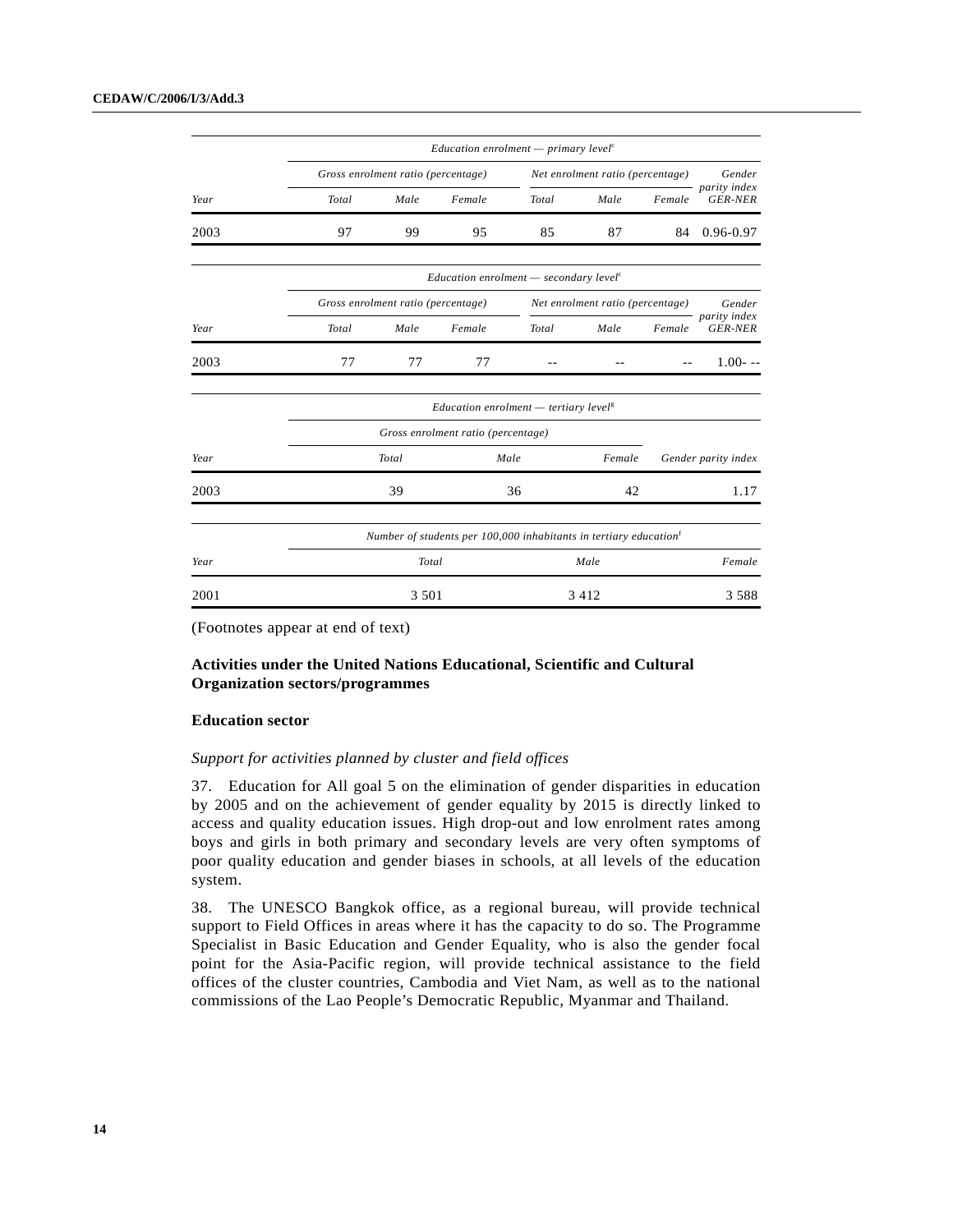|      |       |                                    | <i>Education enrolment</i> — <i>primary level</i> <sup><math>c</math></sup>   |       |                                  |        |                                |  |  |  |
|------|-------|------------------------------------|-------------------------------------------------------------------------------|-------|----------------------------------|--------|--------------------------------|--|--|--|
|      |       | Gross enrolment ratio (percentage) |                                                                               |       | Net enrolment ratio (percentage) |        | Gender                         |  |  |  |
| Year | Total | Male                               | Female                                                                        | Total | Male                             | Female | parity index<br><b>GER-NER</b> |  |  |  |
| 2003 | 97    | 99                                 | 95                                                                            | 85    | 87                               | 84     | 0.96-0.97                      |  |  |  |
|      |       |                                    | Education enrolment $-$ secondary level <sup>c</sup>                          |       |                                  |        |                                |  |  |  |
|      |       | Gross enrolment ratio (percentage) |                                                                               |       | Net enrolment ratio (percentage) |        | Gender<br>parity index         |  |  |  |
| Year | Total | Male                               | Female                                                                        | Total | Male                             | Female | <b>GER-NER</b>                 |  |  |  |
| 2003 | 77    | 77                                 | 77                                                                            |       |                                  |        | $1.00 - -$                     |  |  |  |
|      |       |                                    | <i>Education enrolment</i> $-$ tertiary level <sup>g</sup>                    |       |                                  |        |                                |  |  |  |
|      |       |                                    | Gross enrolment ratio (percentage)                                            |       |                                  |        |                                |  |  |  |
| Year |       | Total                              | Male                                                                          |       | Female                           |        | Gender parity index            |  |  |  |
| 2003 |       | 39                                 |                                                                               | 36    | 42                               |        | 1.17                           |  |  |  |
|      |       |                                    | Number of students per 100,000 inhabitants in tertiary education <sup>t</sup> |       |                                  |        |                                |  |  |  |
| Year |       | Total                              |                                                                               |       | Male                             |        | Female                         |  |  |  |
| 2001 |       | 3 5 0 1                            |                                                                               |       | 3 4 1 2                          |        | 3 5 8 8                        |  |  |  |

## **Activities under the United Nations Educational, Scientific and Cultural Organization sectors/programmes**

#### **Education sector**

#### *Support for activities planned by cluster and field offices*

37. Education for All goal 5 on the elimination of gender disparities in education by 2005 and on the achievement of gender equality by 2015 is directly linked to access and quality education issues. High drop-out and low enrolment rates among boys and girls in both primary and secondary levels are very often symptoms of poor quality education and gender biases in schools, at all levels of the education system.

38. The UNESCO Bangkok office, as a regional bureau, will provide technical support to Field Offices in areas where it has the capacity to do so. The Programme Specialist in Basic Education and Gender Equality, who is also the gender focal point for the Asia-Pacific region, will provide technical assistance to the field offices of the cluster countries, Cambodia and Viet Nam, as well as to the national commissions of the Lao People's Democratic Republic, Myanmar and Thailand.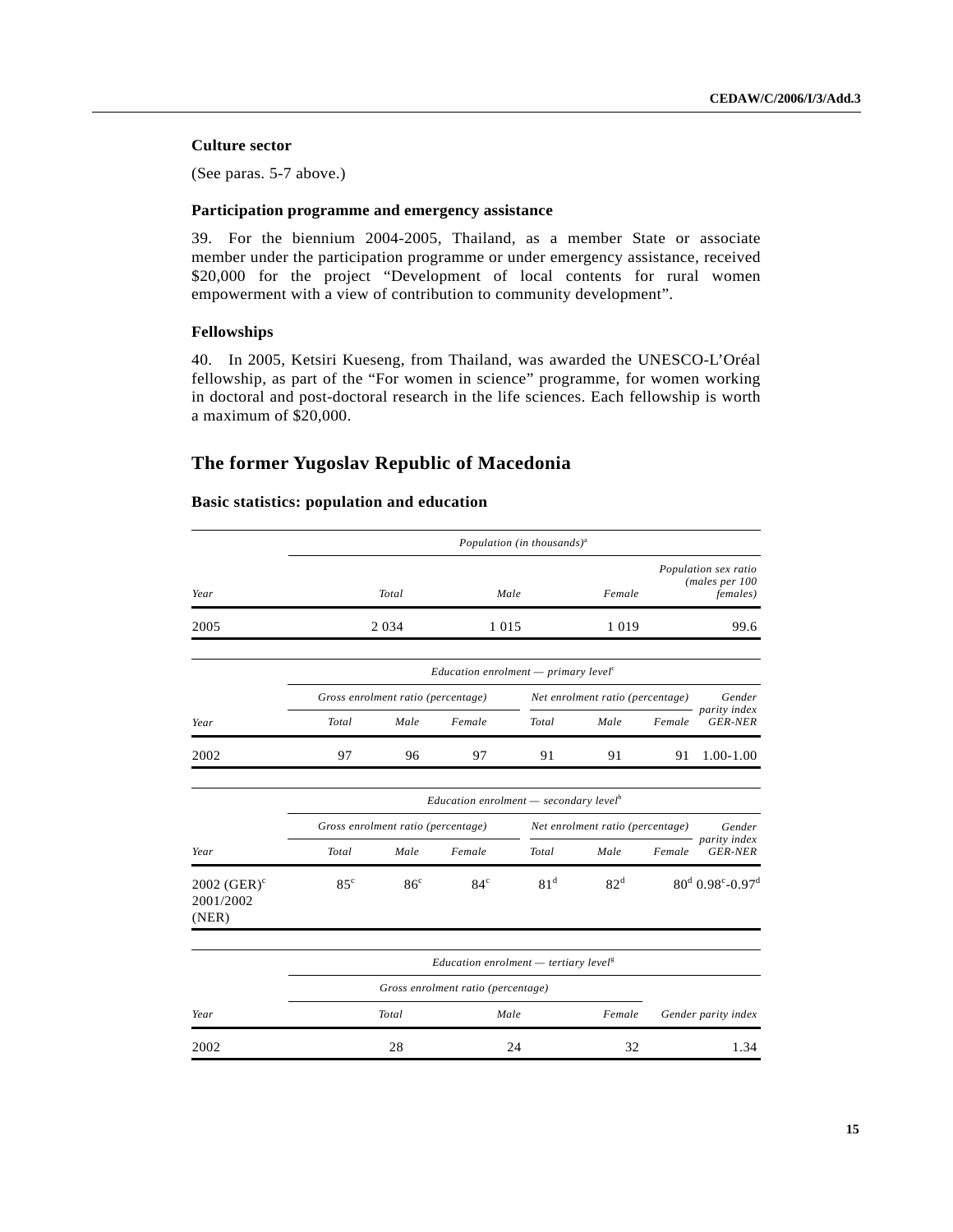## **Culture sector**

(See paras. 5-7 above.)

## **Participation programme and emergency assistance**

39. For the biennium 2004-2005, Thailand, as a member State or associate member under the participation programme or under emergency assistance, received \$20,000 for the project "Development of local contents for rural women empowerment with a view of contribution to community development".

## **Fellowships**

40. In 2005, Ketsiri Kueseng, from Thailand, was awarded the UNESCO-L'Oréal fellowship, as part of the "For women in science" programme, for women working in doctoral and post-doctoral research in the life sciences. Each fellowship is worth a maximum of \$20,000.

## **The former Yugoslav Republic of Macedonia**

|                                      |                                                           |                                    |                                                                 | Population (in thousands) <sup>a</sup> |                                  |        |                                                            |  |
|--------------------------------------|-----------------------------------------------------------|------------------------------------|-----------------------------------------------------------------|----------------------------------------|----------------------------------|--------|------------------------------------------------------------|--|
| Year                                 |                                                           | Total                              |                                                                 | Male                                   | Female                           |        | Population sex ratio<br>(males per 100<br><i>females</i> ) |  |
| 2005                                 |                                                           | 2 0 3 4                            | 1 0 1 5                                                         |                                        | 1 0 1 9                          |        | 99.6                                                       |  |
|                                      |                                                           |                                    | Education enrolment $-$ primary level <sup><math>c</math></sup> |                                        |                                  |        |                                                            |  |
|                                      |                                                           | Gross enrolment ratio (percentage) |                                                                 |                                        | Net enrolment ratio (percentage) |        | Gender                                                     |  |
| Year                                 | Total                                                     | Male                               | Female                                                          | Total                                  | Male                             | Female | parity index<br><b>GER-NER</b>                             |  |
| 2002                                 | 97                                                        | 96                                 | 97                                                              | 91                                     | 91                               | 91     | 1.00-1.00                                                  |  |
|                                      | <i>Education enrolment</i> — secondary level <sup>h</sup> |                                    |                                                                 |                                        |                                  |        |                                                            |  |
|                                      |                                                           |                                    | Gross enrolment ratio (percentage)                              |                                        | Net enrolment ratio (percentage) |        | Gender                                                     |  |
| Year                                 | Total                                                     | Male                               | Female                                                          | Total                                  | Male                             | Female | parity index<br><b>GER-NER</b>                             |  |
| 2002 $(GER)^c$<br>2001/2002<br>(NER) | $85^{\circ}$                                              | 86 <sup>c</sup>                    | $84^\circ$                                                      | 81 <sup>d</sup>                        | 82 <sup>d</sup>                  |        | $80^d$ 0.98°-0.97 <sup>d</sup>                             |  |
|                                      |                                                           |                                    | <i>Education enrolment</i> $-$ tertiary level <sup>g</sup>      |                                        |                                  |        |                                                            |  |
|                                      |                                                           |                                    | Gross enrolment ratio (percentage)                              |                                        |                                  |        |                                                            |  |
| Year                                 |                                                           | Total                              |                                                                 | Male                                   | Female                           |        | Gender parity index                                        |  |
| 2002                                 |                                                           | 28                                 |                                                                 | 24                                     | 32                               |        | 1.34                                                       |  |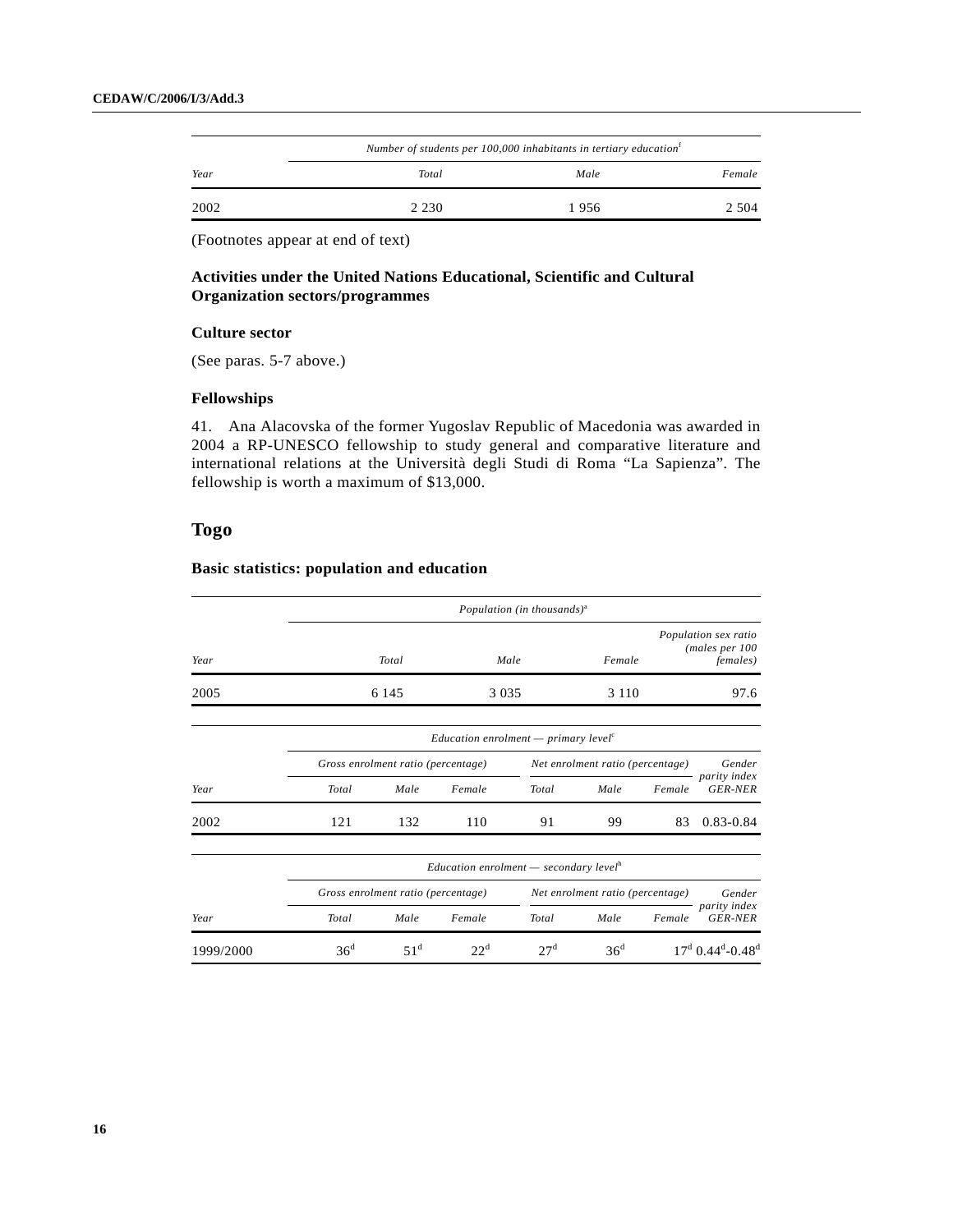|      | Number of students per 100,000 inhabitants in tertiary education <sup>f</sup> |      |        |  |  |  |
|------|-------------------------------------------------------------------------------|------|--------|--|--|--|
| Year | Total                                                                         | Male | Female |  |  |  |
| 2002 | 2 2 3 0                                                                       | 1956 | 2.504  |  |  |  |

## **Activities under the United Nations Educational, Scientific and Cultural Organization sectors/programmes**

#### **Culture sector**

(See paras. 5-7 above.)

## **Fellowships**

41. Ana Alacovska of the former Yugoslav Republic of Macedonia was awarded in 2004 a RP-UNESCO fellowship to study general and comparative literature and international relations at the Università degli Studi di Roma "La Sapienza". The fellowship is worth a maximum of \$13,000.

## **Togo**

|           |                                                                             |                                    |                                                           | Population (in thousands) <sup>a</sup> |                                  |        |                                                             |  |
|-----------|-----------------------------------------------------------------------------|------------------------------------|-----------------------------------------------------------|----------------------------------------|----------------------------------|--------|-------------------------------------------------------------|--|
| Year      |                                                                             | Total                              |                                                           | Male                                   | Female                           |        | Population sex ratio<br>(males per 100)<br><i>females</i> ) |  |
| 2005      |                                                                             | 6 1 4 5                            | 3 0 3 5                                                   |                                        | 3 1 1 0                          |        | 97.6                                                        |  |
|           | <i>Education enrolment</i> — <i>primary level</i> <sup><math>c</math></sup> |                                    |                                                           |                                        |                                  |        |                                                             |  |
|           |                                                                             | Gross enrolment ratio (percentage) |                                                           |                                        | Net enrolment ratio (percentage) |        | Gender                                                      |  |
| Year      | Total                                                                       | Male                               | Female                                                    | Total                                  | Male                             | Female | parity index<br><b>GER-NER</b>                              |  |
| 2002      | 121                                                                         | 132                                | 110                                                       | 91                                     | 99                               | 83     | $0.83 - 0.84$                                               |  |
|           |                                                                             |                                    | <i>Education enrolment</i> — secondary level <sup>h</sup> |                                        |                                  |        |                                                             |  |
|           |                                                                             | Gross enrolment ratio (percentage) |                                                           |                                        | Net enrolment ratio (percentage) |        | Gender                                                      |  |
| Year      | Total                                                                       | Male                               | Female                                                    | Total                                  | Male                             | Female | parity index<br><b>GER-NER</b>                              |  |
| 1999/2000 | 36 <sup>d</sup>                                                             | $51^{\rm d}$                       | $22^d$                                                    | 27 <sup>d</sup>                        | 36 <sup>d</sup>                  |        | $17^d$ 0.44 <sup>d</sup> -0.48 <sup>d</sup>                 |  |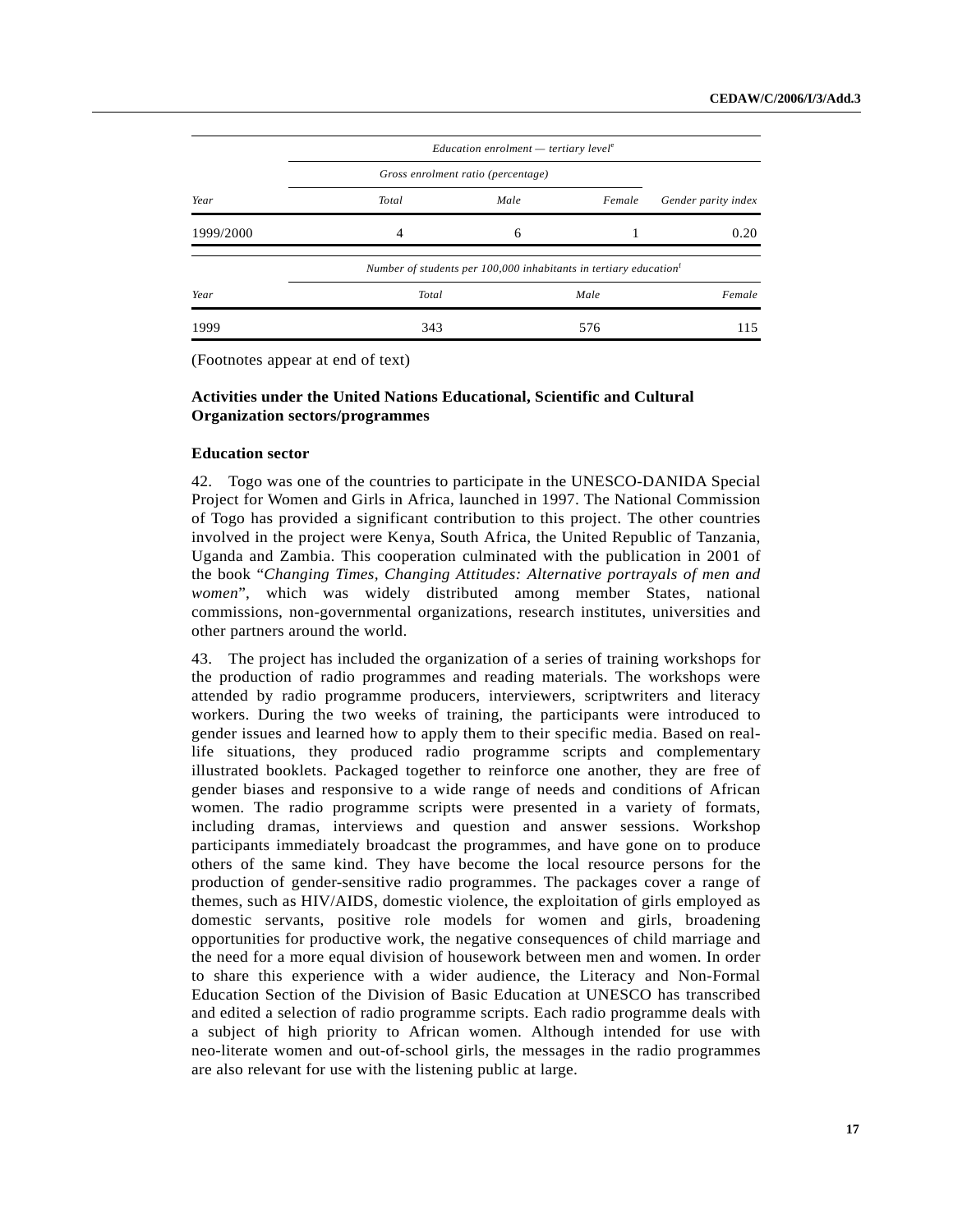|           |                                    | Education enrolment $-$ tertiary level <sup>e</sup>                           |        |                     |
|-----------|------------------------------------|-------------------------------------------------------------------------------|--------|---------------------|
|           | Gross enrolment ratio (percentage) |                                                                               |        |                     |
| Year      | Total                              | Male                                                                          | Female | Gender parity index |
| 1999/2000 | 4                                  | 6                                                                             |        | 0.20                |
|           |                                    | Number of students per 100,000 inhabitants in tertiary education <sup>f</sup> |        |                     |
| Year      | Total                              |                                                                               | Male   | Female              |
| 1999      | 343                                |                                                                               | 576    | 115                 |

## **Activities under the United Nations Educational, Scientific and Cultural Organization sectors/programmes**

#### **Education sector**

42. Togo was one of the countries to participate in the UNESCO-DANIDA Special Project for Women and Girls in Africa, launched in 1997. The National Commission of Togo has provided a significant contribution to this project. The other countries involved in the project were Kenya, South Africa, the United Republic of Tanzania, Uganda and Zambia. This cooperation culminated with the publication in 2001 of the book "*Changing Times, Changing Attitudes: Alternative portrayals of men and women*", which was widely distributed among member States, national commissions, non-governmental organizations, research institutes, universities and other partners around the world.

43. The project has included the organization of a series of training workshops for the production of radio programmes and reading materials. The workshops were attended by radio programme producers, interviewers, scriptwriters and literacy workers. During the two weeks of training, the participants were introduced to gender issues and learned how to apply them to their specific media. Based on reallife situations, they produced radio programme scripts and complementary illustrated booklets. Packaged together to reinforce one another, they are free of gender biases and responsive to a wide range of needs and conditions of African women. The radio programme scripts were presented in a variety of formats, including dramas, interviews and question and answer sessions. Workshop participants immediately broadcast the programmes, and have gone on to produce others of the same kind. They have become the local resource persons for the production of gender-sensitive radio programmes. The packages cover a range of themes, such as HIV/AIDS, domestic violence, the exploitation of girls employed as domestic servants, positive role models for women and girls, broadening opportunities for productive work, the negative consequences of child marriage and the need for a more equal division of housework between men and women. In order to share this experience with a wider audience, the Literacy and Non-Formal Education Section of the Division of Basic Education at UNESCO has transcribed and edited a selection of radio programme scripts. Each radio programme deals with a subject of high priority to African women. Although intended for use with neo-literate women and out-of-school girls, the messages in the radio programmes are also relevant for use with the listening public at large.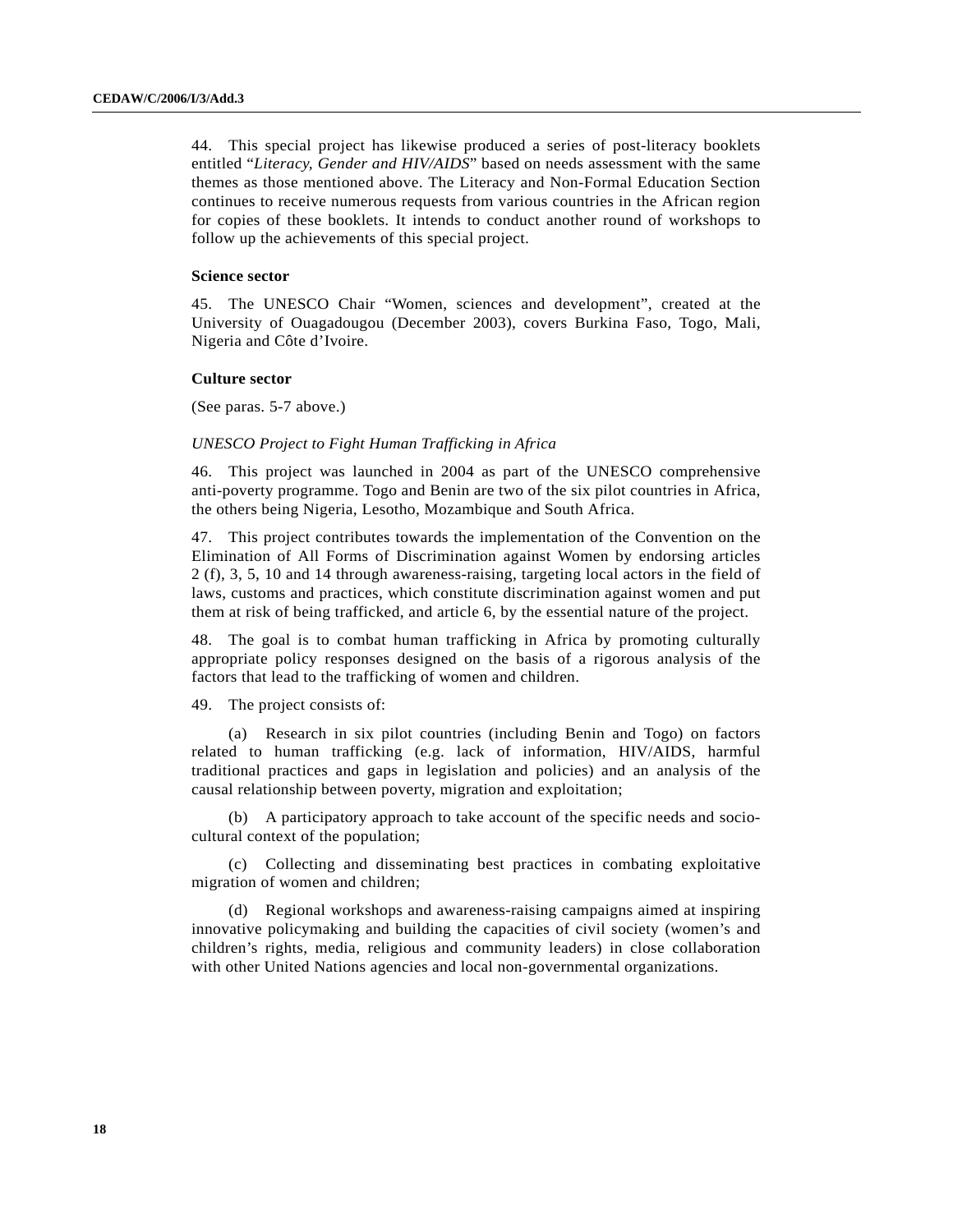44. This special project has likewise produced a series of post-literacy booklets entitled "*Literacy, Gender and HIV/AIDS*" based on needs assessment with the same themes as those mentioned above. The Literacy and Non-Formal Education Section continues to receive numerous requests from various countries in the African region for copies of these booklets. It intends to conduct another round of workshops to follow up the achievements of this special project.

#### **Science sector**

45. The UNESCO Chair "Women, sciences and development", created at the University of Ouagadougou (December 2003), covers Burkina Faso, Togo, Mali, Nigeria and Côte d'Ivoire.

#### **Culture sector**

(See paras. 5-7 above.)

### *UNESCO Project to Fight Human Trafficking in Africa*

46. This project was launched in 2004 as part of the UNESCO comprehensive anti-poverty programme. Togo and Benin are two of the six pilot countries in Africa, the others being Nigeria, Lesotho, Mozambique and South Africa.

47. This project contributes towards the implementation of the Convention on the Elimination of All Forms of Discrimination against Women by endorsing articles 2 (f), 3, 5, 10 and 14 through awareness-raising, targeting local actors in the field of laws, customs and practices, which constitute discrimination against women and put them at risk of being trafficked, and article 6, by the essential nature of the project.

48. The goal is to combat human trafficking in Africa by promoting culturally appropriate policy responses designed on the basis of a rigorous analysis of the factors that lead to the trafficking of women and children.

49. The project consists of:

(a) Research in six pilot countries (including Benin and Togo) on factors related to human trafficking (e.g. lack of information, HIV/AIDS, harmful traditional practices and gaps in legislation and policies) and an analysis of the causal relationship between poverty, migration and exploitation;

(b) A participatory approach to take account of the specific needs and sociocultural context of the population;

(c) Collecting and disseminating best practices in combating exploitative migration of women and children;

(d) Regional workshops and awareness-raising campaigns aimed at inspiring innovative policymaking and building the capacities of civil society (women's and children's rights, media, religious and community leaders) in close collaboration with other United Nations agencies and local non-governmental organizations.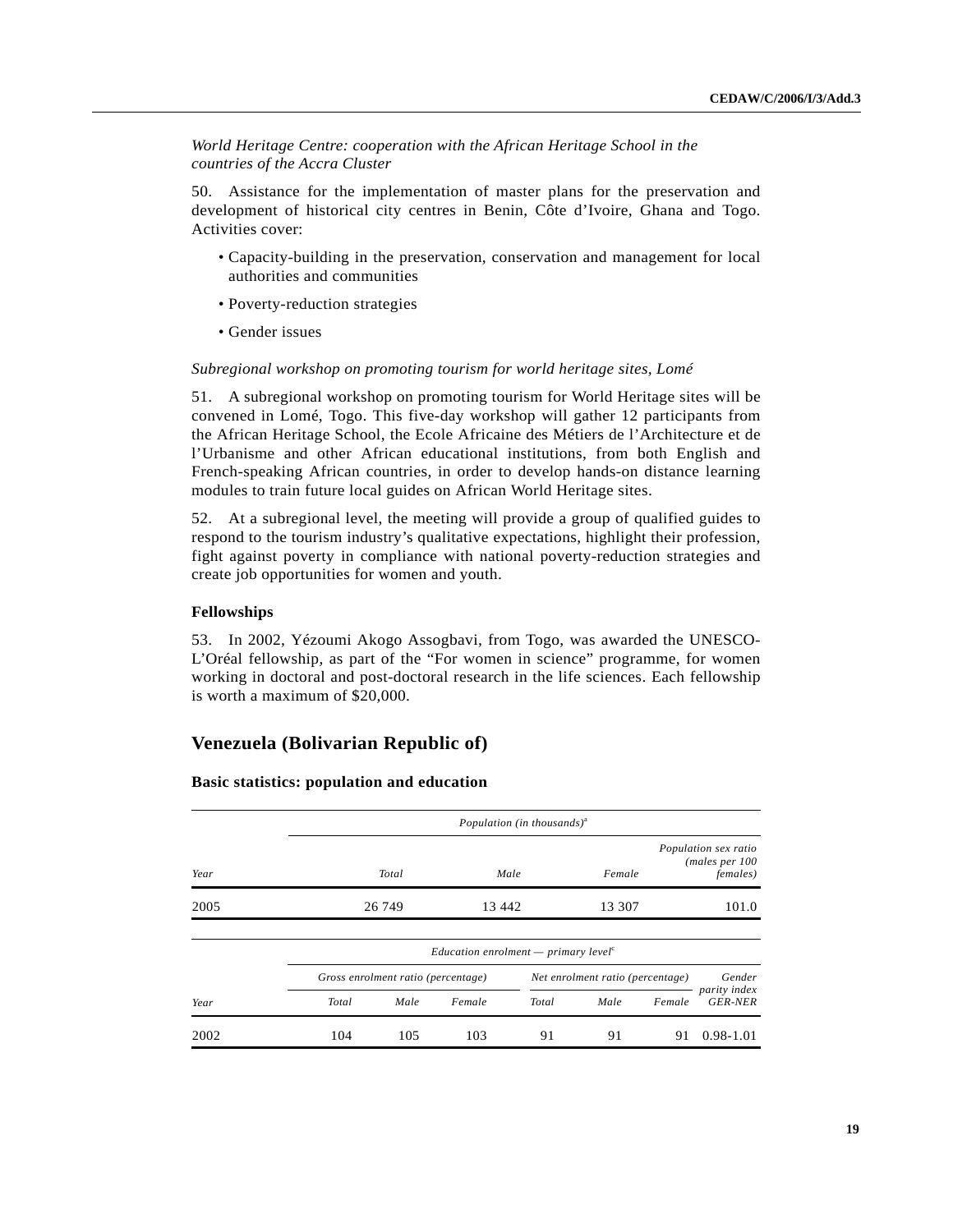*World Heritage Centre: cooperation with the African Heritage School in the countries of the Accra Cluster*

50. Assistance for the implementation of master plans for the preservation and development of historical city centres in Benin, Côte d'Ivoire, Ghana and Togo. Activities cover:

- Capacity-building in the preservation, conservation and management for local authorities and communities
- Poverty-reduction strategies
- Gender issues

#### *Subregional workshop on promoting tourism for world heritage sites, Lomé*

51. A subregional workshop on promoting tourism for World Heritage sites will be convened in Lomé, Togo. This five-day workshop will gather 12 participants from the African Heritage School, the Ecole Africaine des Métiers de l'Architecture et de l'Urbanisme and other African educational institutions, from both English and French-speaking African countries, in order to develop hands-on distance learning modules to train future local guides on African World Heritage sites.

52. At a subregional level, the meeting will provide a group of qualified guides to respond to the tourism industry's qualitative expectations, highlight their profession, fight against poverty in compliance with national poverty-reduction strategies and create job opportunities for women and youth.

#### **Fellowships**

53. In 2002, Yézoumi Akogo Assogbavi, from Togo, was awarded the UNESCO-L'Oréal fellowship, as part of the "For women in science" programme, for women working in doctoral and post-doctoral research in the life sciences. Each fellowship is worth a maximum of \$20,000.

## **Venezuela (Bolivarian Republic of)**

|      |       |                                    |                                                               | Population (in thousands) <sup>a</sup> |                                  |        |                                                             |  |  |  |
|------|-------|------------------------------------|---------------------------------------------------------------|----------------------------------------|----------------------------------|--------|-------------------------------------------------------------|--|--|--|
| Year |       | Total                              |                                                               | Male                                   | Female                           |        | Population sex ratio<br>(males per 100)<br><i>females</i> ) |  |  |  |
| 2005 |       | 26 749                             | 13 442                                                        |                                        | 13 307                           |        | 101.0                                                       |  |  |  |
|      |       |                                    | Education enrolment — primary level <sup><math>c</math></sup> |                                        |                                  |        |                                                             |  |  |  |
|      |       | Gross enrolment ratio (percentage) |                                                               |                                        | Net enrolment ratio (percentage) |        | Gender                                                      |  |  |  |
| Year | Total | Male                               | Female                                                        | Total                                  | Male                             | Female | parity index<br><b>GER-NER</b>                              |  |  |  |
| 2002 | 104   | 105                                | 103                                                           | 91                                     | 91                               | 91     | $0.98 - 1.01$                                               |  |  |  |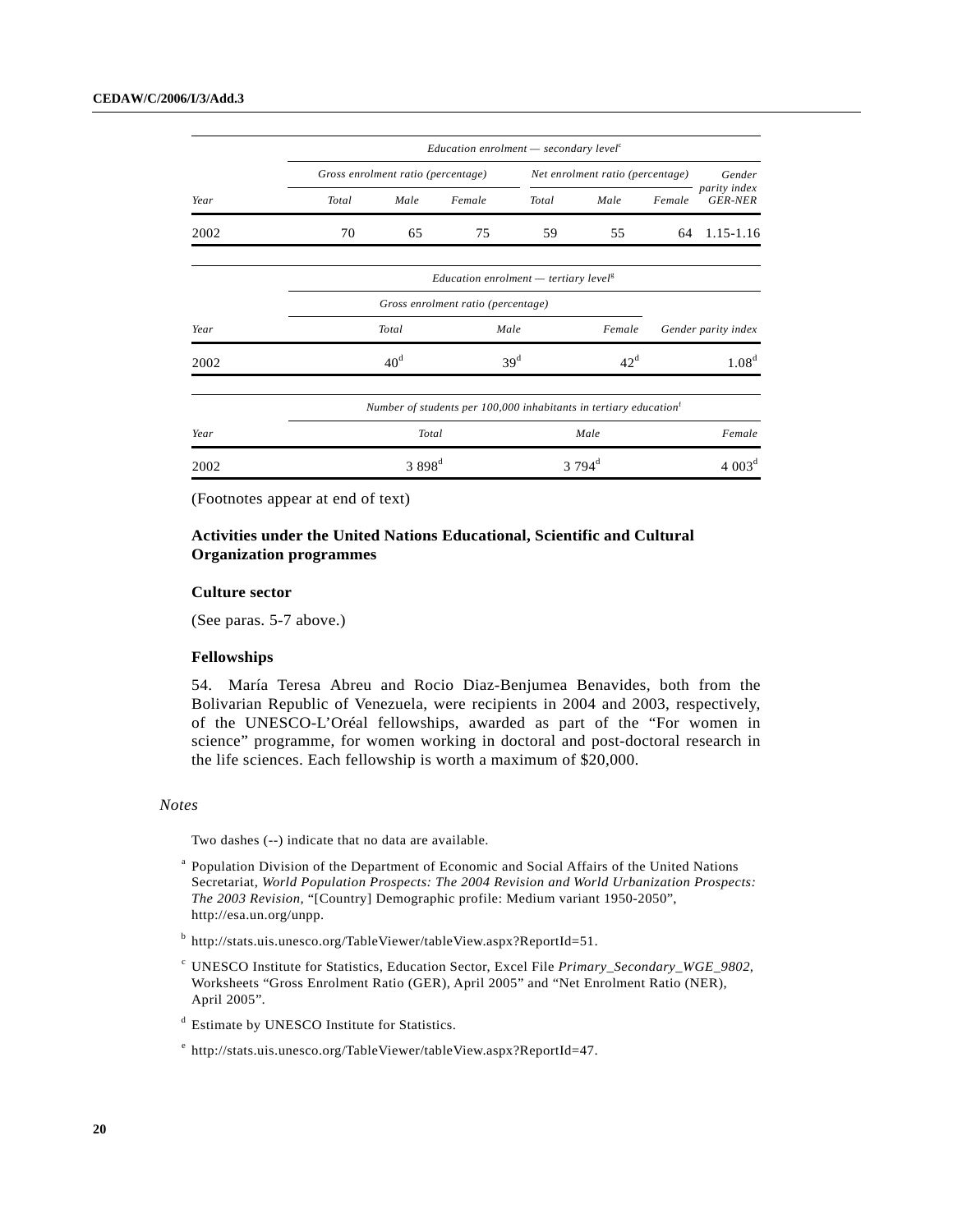| Year | Education enrolment $-$ secondary level <sup>c</sup>                          |                 |                                                          |                                  |              |                    |                                |
|------|-------------------------------------------------------------------------------|-----------------|----------------------------------------------------------|----------------------------------|--------------|--------------------|--------------------------------|
|      | Gross enrolment ratio (percentage)                                            |                 |                                                          | Net enrolment ratio (percentage) |              |                    | Gender                         |
|      | Total                                                                         | Male            | Female                                                   | Total                            | Male         | Female             | parity index<br><b>GER-NER</b> |
| 2002 | 70                                                                            | 65              | 75                                                       | 59                               | 55           | 64                 | 1.15-1.16                      |
|      |                                                                               |                 | <i>Education enrolment</i> — tertiary level <sup>g</sup> |                                  |              |                    |                                |
|      |                                                                               |                 |                                                          |                                  |              |                    |                                |
| Year | Total                                                                         |                 | Male                                                     |                                  | Female       |                    | Gender parity index            |
| 2002 |                                                                               | 40 <sup>d</sup> |                                                          | 39 <sup>d</sup>                  | $42^{\rm d}$ |                    | 1.08 <sup>d</sup>              |
|      | Number of students per 100,000 inhabitants in tertiary education <sup>t</sup> |                 |                                                          |                                  |              |                    |                                |
| Year | Total                                                                         |                 |                                                          |                                  | Male         |                    | Female                         |
| 2002 | $3898^{\rm d}$                                                                |                 |                                                          | $3794^{\rm d}$                   |              | 4.003 <sup>d</sup> |                                |

## **Activities under the United Nations Educational, Scientific and Cultural Organization programmes**

#### **Culture sector**

(See paras. 5-7 above.)

### **Fellowships**

54. María Teresa Abreu and Rocio Diaz-Benjumea Benavides, both from the Bolivarian Republic of Venezuela, were recipients in 2004 and 2003, respectively, of the UNESCO-L'Oréal fellowships, awarded as part of the "For women in science" programme, for women working in doctoral and post-doctoral research in the life sciences. Each fellowship is worth a maximum of \$20,000.

#### *Notes*

Two dashes (--) indicate that no data are available.

- <sup>a</sup> Population Division of the Department of Economic and Social Affairs of the United Nations Secretariat, *World Population Prospects: The 2004 Revision and World Urbanization Prospects: The 2003 Revision,* "[Country] Demographic profile: Medium variant 1950-2050", http://esa.un.org/unpp.
- <sup>b</sup> http://stats.uis.unesco.org/TableViewer/tableView.aspx?ReportId=51.
- <sup>c</sup> UNESCO Institute for Statistics, Education Sector, Excel File *Primary\_Secondary\_WGE\_9802*, Worksheets "Gross Enrolment Ratio (GER), April 2005" and "Net Enrolment Ratio (NER), April 2005".
- <sup>d</sup> Estimate by UNESCO Institute for Statistics.
- <sup>e</sup> http://stats.uis.unesco.org/TableViewer/tableView.aspx?ReportId=47.